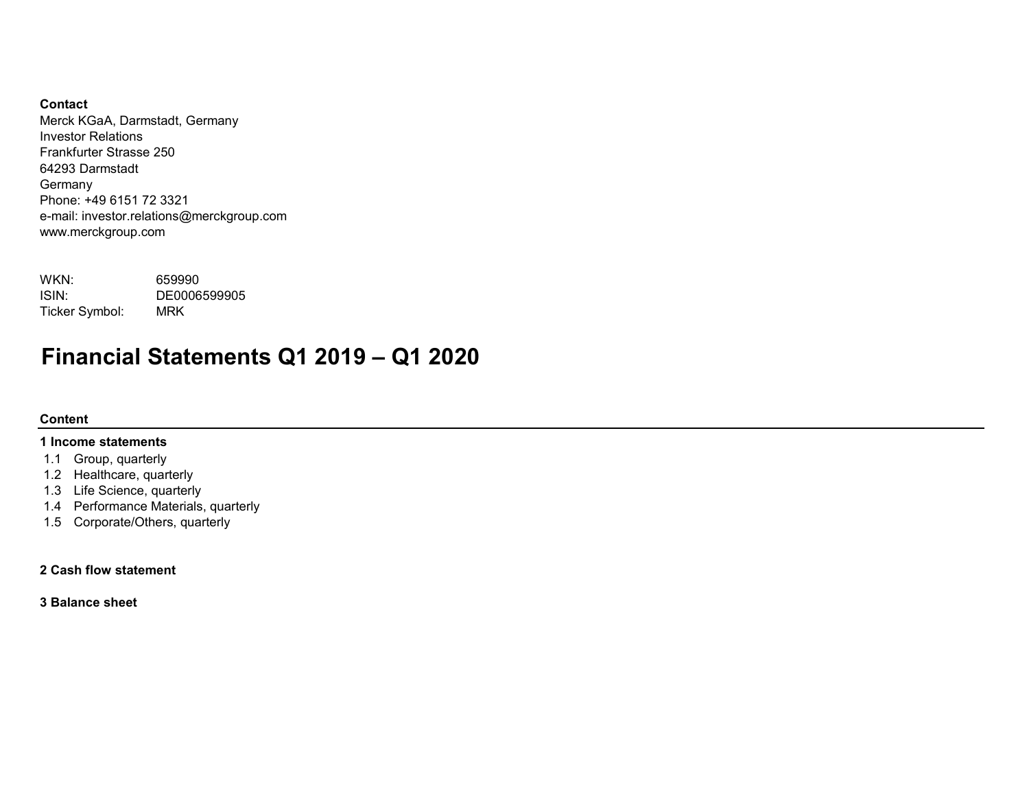# Contact

Merck KGaA, Darmstadt, Germany Investor Relations Frankfurter Strasse 250 64293 Darmstadt Germany Phone: +49 6151 72 3321 e-mail: investor.relations@merckgroup.com www.merckgroup.com

| WKN:           | 659990       |
|----------------|--------------|
| ISIN:          | DE0006599905 |
| Ticker Symbol: | MRK          |

# Financial Statements Q1 2019 – Q1 2020

# Content

# 1 Income statements

- 1.1 Group, quarterly
- 1.2 Healthcare, quarterly
- 1.3 Life Science, quarterly
- 1.4 Performance Materials, quarterly
- 1.5 Corporate/Others, quarterly

# 2 Cash flow statement

3 Balance sheet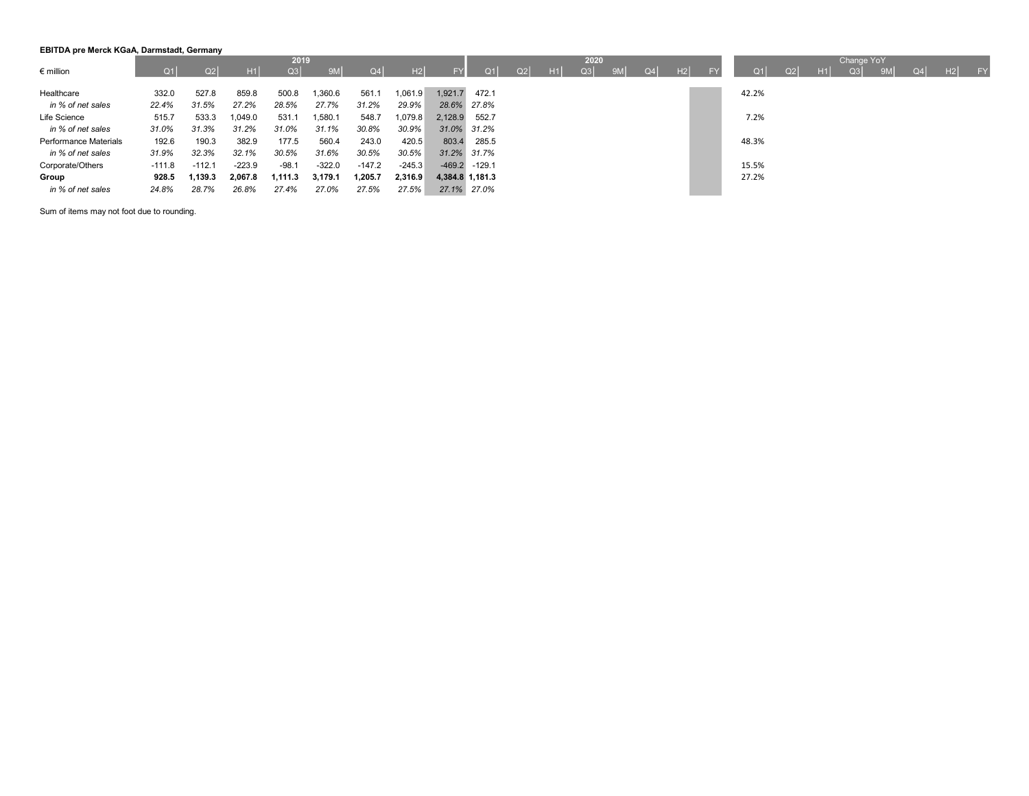### EBITDA pre Merck KGaA, Darmstadt, Germany

|                       |          |          |          | 2019    |          |          |          |                 |                   |    |    | 2020 |    |    |    |    |                |    |    | Change YoY |    |    |    |                 |
|-----------------------|----------|----------|----------|---------|----------|----------|----------|-----------------|-------------------|----|----|------|----|----|----|----|----------------|----|----|------------|----|----|----|-----------------|
| $\epsilon$ million    | Q1 I     | Q2       | H1       | Q3      | 9M       | Q4       | H2       | <b>FY</b>       | O <sub>1</sub>    | Q2 | H1 | Q3   | 9M | Q4 | H2 | EV | O <sub>1</sub> | Q2 | H1 | Q3         | 9M | Q4 | H2 | FY <sub>1</sub> |
|                       |          |          |          |         |          |          |          |                 |                   |    |    |      |    |    |    |    |                |    |    |            |    |    |    |                 |
| Healthcare            | 332.0    | 527.8    | 859.8    | 500.8   | .360.6   | 561.1    | 1,061.9  | 1,921.7         | 472.1             |    |    |      |    |    |    |    | 42.2%          |    |    |            |    |    |    |                 |
| in % of net sales     | 22.4%    | 31.5%    | 27.2%    | 28.5%   | 27.7%    | 31.2%    | 29.9%    |                 | 28.6% 27.8%       |    |    |      |    |    |    |    |                |    |    |            |    |    |    |                 |
| Life Science          | 515.7    | 533.3    | 1,049.0  | 531.1   | 1,580.1  | 548.7    | 1,079.8  | 2,128.9         | 552.7             |    |    |      |    |    |    |    | 7.2%           |    |    |            |    |    |    |                 |
| in % of net sales     | 31.0%    | 31.3%    | 31.2%    | 31.0%   | 31.1%    | 30.8%    | 30.9%    |                 | 31.0% 31.2%       |    |    |      |    |    |    |    |                |    |    |            |    |    |    |                 |
| Performance Materials | 192.6    | 190.3    | 382.9    | 177.5   | 560.4    | 243.0    | 420.5    | 803.4           | 285.5             |    |    |      |    |    |    |    | 48.3%          |    |    |            |    |    |    |                 |
| in % of net sales     | 31.9%    | 32.3%    | 32.1%    | 30.5%   | 31.6%    | 30.5%    | 30.5%    |                 | 31.2% 31.7%       |    |    |      |    |    |    |    |                |    |    |            |    |    |    |                 |
| Corporate/Others      | $-111.8$ | $-112.1$ | $-223.9$ | $-98.1$ | $-322.0$ | $-147.2$ | $-245.3$ |                 | $-469.2$ $-129.1$ |    |    |      |    |    |    |    | 15.5%          |    |    |            |    |    |    |                 |
| Group                 | 928.5    | 1,139.3  | 2,067.8  | 1,111.3 | 3,179.1  | 1,205.7  | 2,316.9  | 4,384.8 1,181.3 |                   |    |    |      |    |    |    |    | 27.2%          |    |    |            |    |    |    |                 |
| in % of net sales     | 24.8%    | 28.7%    | 26.8%    | 27.4%   | 27.0%    | 27.5%    | 27.5%    |                 | 27.1% 27.0%       |    |    |      |    |    |    |    |                |    |    |            |    |    |    |                 |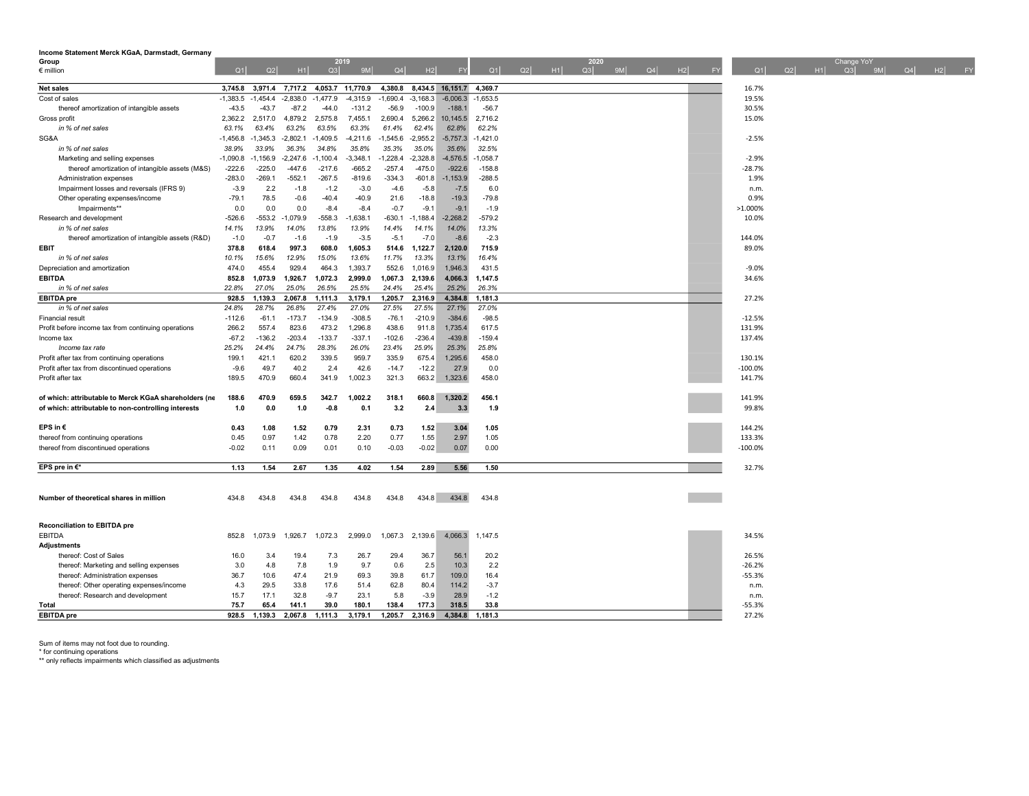| Income Statement Merck KGaA, Darmstadt, Germany                                                              |            |            |            |            |                  |            |                          |                |            |                      |          |    |           |                       |                   |
|--------------------------------------------------------------------------------------------------------------|------------|------------|------------|------------|------------------|------------|--------------------------|----------------|------------|----------------------|----------|----|-----------|-----------------------|-------------------|
| Group                                                                                                        |            |            |            |            | 2019             |            |                          |                |            | 2020                 |          |    |           | Change YoY            |                   |
| $\epsilon$ million                                                                                           | Q1         | Q2         | H1         | Q3         | 9M               | Q4         | H2                       | FY             | Q1         | H1<br>Q3<br>9M<br>Q2 | Q4<br>H2 | FY | Q1<br>Q2  | H1<br>$\sim$ Q3<br>9M | $\sqrt{QA}$ H2 FY |
| <b>Net sales</b>                                                                                             | 3,745.8    | 3,971.4    | 7,717.2    |            | 4,053.7 11,770.9 |            | 4,380.8 8,434.5 16,151.7 |                | 4.369.7    |                      |          |    | 16.7%     |                       |                   |
| Cost of sales                                                                                                | $-1,383.5$ | $-1,454.4$ | $-2,838.0$ | $-1,477.9$ | $-4,315.9$       | $-1,690.4$ | $-3,168.3$               | $-6,006.3$     | $-1,653.5$ |                      |          |    | 19.5%     |                       |                   |
| thereof amortization of intangible assets                                                                    | $-43.5$    | $-43.7$    | $-87.2$    | $-44.0$    | $-131.2$         | $-56.9$    | $-100.9$                 | $-188.1$       | $-56.7$    |                      |          |    | 30.5%     |                       |                   |
| Gross profit                                                                                                 | 2,362.2    | 2,517.0    | 4,879.2    | 2,575.8    | 7,455.1          | 2,690.4    | 5,266.2                  | 10,145.5       | 2,716.2    |                      |          |    | 15.0%     |                       |                   |
| in % of net sales                                                                                            | 63.1%      | 63.4%      | 63.2%      | 63.5%      | 63.3%            | 61.4%      | 62.4%                    | 62.8%          | 62.2%      |                      |          |    |           |                       |                   |
| SG&A                                                                                                         | $-1,456.8$ | $-1,345.3$ | $-2,802.1$ | $-1,409.5$ | $-4,211.6$       | $-1,545.6$ | $-2,955.2$               | $-5,757.3$     | $-1,421.0$ |                      |          |    | $-2.5%$   |                       |                   |
| in % of net sales                                                                                            | 38.9%      | 33.9%      | 36.3%      | 34.8%      | 35.8%            | 35.3%      | 35.0%                    | 35.6%          | 32.5%      |                      |          |    |           |                       |                   |
| Marketing and selling expenses                                                                               | $-1,090.8$ | $-1,156.9$ | $-2,247.6$ | $-1,100.4$ | $-3,348.1$       | $-1,228.4$ | $-2,328.8$               | $-4,576.5$     | $-1,058.7$ |                      |          |    | $-2.9%$   |                       |                   |
| thereof amortization of intangible assets (M&S)                                                              | $-222.6$   | $-225.0$   | $-447.6$   | $-217.6$   | $-665.2$         | $-257.4$   | $-475.0$                 | $-922.6$       | $-158.8$   |                      |          |    | $-28.7%$  |                       |                   |
| Administration expenses                                                                                      | $-283.0$   | $-269.1$   | $-552.1$   | $-267.5$   | $-819.6$         | $-334.3$   | $-601.8$                 | $-1,153.9$     | $-288.5$   |                      |          |    | 1.9%      |                       |                   |
| Impairment losses and reversals (IFRS 9)                                                                     | $-3.9$     | 2.2        | $-1.8$     | $-1.2$     | $-3.0$           | $-4.6$     | $-5.8$                   | $-7.5$         | 6.0        |                      |          |    | n.m.      |                       |                   |
| Other operating expenses/income                                                                              | $-79.1$    | 78.5       | $-0.6$     | $-40.4$    | $-40.9$          | 21.6       | $-18.8$                  | $-19.3$        | $-79.8$    |                      |          |    | 0.9%      |                       |                   |
| Impairments**                                                                                                | 0.0        | 0.0        | 0.0        | $-8.4$     | $-8.4$           | $-0.7$     | $-9.1$                   | $-9.1$         | $-1.9$     |                      |          |    | >1.000%   |                       |                   |
| Research and development                                                                                     | $-526.6$   | $-553.2$   | $-1,079.9$ | $-558.3$   | $-1,638.1$       | $-630.1$   | $-1,188.4$               | $-2,268.2$     | $-579.2$   |                      |          |    | 10.0%     |                       |                   |
| in % of net sales                                                                                            | 14.1%      | 13.9%      | 14.0%      | 13.8%      | 13.9%            | 14.4%      | 14.1%                    | 14.0%          | 13.3%      |                      |          |    |           |                       |                   |
| thereof amortization of intangible assets (R&D)                                                              | $-1.0$     | $-0.7$     | $-1.6$     | $-1.9$     | $-3.5$           | $-5.1$     | $-7.0$                   | $-8.6$         | $-2.3$     |                      |          |    | 144.0%    |                       |                   |
| <b>EBIT</b>                                                                                                  | 378.8      | 618.4      | 997.3      | 608.0      | 1,605.3          | 514.6      | 1,122.7                  | 2,120.0        | 715.9      |                      |          |    | 89.0%     |                       |                   |
| in % of net sales                                                                                            | 10.1%      | 15.6%      | 12.9%      | 15.0%      | 13.6%            | 11.7%      | 13.3%                    | 13.1%          | 16.4%      |                      |          |    |           |                       |                   |
| Depreciation and amortization                                                                                | 474.0      | 455.4      | 929.4      | 464.3      | 1,393.7          | 552.6      | 1,016.9                  | 1,946.3        | 431.5      |                      |          |    | $-9.0%$   |                       |                   |
| <b>EBITDA</b>                                                                                                | 852.8      | 1,073.9    | 1,926.7    | 1,072.3    | 2,999.0          | 1,067.3    | 2,139.6                  | 4,066.3        | 1,147.5    |                      |          |    | 34.6%     |                       |                   |
| in % of net sales                                                                                            | 22.8%      | 27.0%      | 25.0%      | 26.5%      | 25.5%            | 24.4%      | 25.4%                    | 25.2%          | 26.3%      |                      |          |    |           |                       |                   |
| <b>EBITDA</b> pre                                                                                            | 928.5      | 1,139.3    | 2,067.8    | 1,111.3    | 3,179.1          | 1,205.7    | 2,316.9                  | 4,384.8        | 1,181.3    |                      |          |    | 27.2%     |                       |                   |
| in % of net sales                                                                                            | 24.8%      | 28.7%      | 26.8%      | 27.4%      | 27.0%            | 27.5%      | 27.5%                    | 27.1%          | 27.0%      |                      |          |    |           |                       |                   |
| <b>Financial result</b>                                                                                      | $-112.6$   | $-61.1$    | $-173.7$   | $-134.9$   | $-308.5$         | $-76.1$    | $-210.9$                 | $-384.6$       | $-98.5$    |                      |          |    | $-12.5%$  |                       |                   |
| Profit before income tax from continuing operations                                                          | 266.2      | 557.4      | 823.6      | 473.2      | 1,296.8          | 438.6      | 911.8                    | 1,735.4        | 617.5      |                      |          |    | 131.9%    |                       |                   |
| Income tax                                                                                                   | $-67.2$    | $-136.2$   | $-203.4$   | $-133.7$   | $-337.1$         | $-102.6$   | $-236.4$                 | $-439.8$       | $-159.4$   |                      |          |    | 137.4%    |                       |                   |
| Income tax rate                                                                                              | 25.2%      | 24.4%      | 24.7%      | 28.3%      | 26.0%            | 23.4%      | 25.9%                    | 25.3%          | 25.8%      |                      |          |    |           |                       |                   |
| Profit after tax from continuing operations                                                                  | 199.1      | 421.1      | 620.2      | 339.5      | 959.7            | 335.9      | 675.4                    | 1,295.6        | 458.0      |                      |          |    | 130.1%    |                       |                   |
| Profit after tax from discontinued operations                                                                | $-9.6$     | 49.7       | 40.2       | 2.4        | 42.6             | $-14.7$    | $-12.2$                  | 27.9           | 0.0        |                      |          |    | $-100.0%$ |                       |                   |
| Profit after tax                                                                                             | 189.5      | 470.9      | 660.4      | 341.9      | 1,002.3          | 321.3      | 663.2                    | 1,323.6        | 458.0      |                      |          |    | 141.7%    |                       |                   |
|                                                                                                              | 188.6      | 470.9      | 659.5      | 342.7      | 1.002.2          | 318.1      | 660.8                    |                | 456.1      |                      |          |    | 141.9%    |                       |                   |
| of which: attributable to Merck KGaA shareholders (ne<br>of which: attributable to non-controlling interests | 1.0        | 0.0        | 1.0        | $-0.8$     | 0.1              | 3.2        | 2.4                      | 1,320.2<br>3.3 | 1.9        |                      |          |    | 99.8%     |                       |                   |
|                                                                                                              |            |            |            |            |                  |            |                          |                |            |                      |          |    |           |                       |                   |
| EPS in $\epsilon$                                                                                            | 0.43       | 1.08       | 1.52       | 0.79       | 2.31             | 0.73       | 1.52                     | 3.04           | 1.05       |                      |          |    | 144.2%    |                       |                   |
| thereof from continuing operations                                                                           | 0.45       | 0.97       | 1.42       | 0.78       | 2.20             | 0.77       | 1.55                     | 2.97           | 1.05       |                      |          |    | 133.3%    |                       |                   |
| thereof from discontinued operations                                                                         | $-0.02$    | 0.11       | 0.09       | 0.01       | 0.10             | $-0.03$    | $-0.02$                  | 0.07           | 0.00       |                      |          |    | $-100.0%$ |                       |                   |
|                                                                                                              |            |            |            |            |                  |            |                          |                |            |                      |          |    |           |                       |                   |
| EPS pre in €*                                                                                                | 1.13       | 1.54       | 2.67       | 1.35       | 4.02             | 1.54       | 2.89                     | 5.56           | 1.50       |                      |          |    | 32.7%     |                       |                   |
|                                                                                                              |            |            |            |            |                  |            |                          |                |            |                      |          |    |           |                       |                   |
|                                                                                                              |            |            |            |            |                  |            |                          |                |            |                      |          |    |           |                       |                   |
| Number of theoretical shares in million                                                                      | 434.8      | 434.8      | 434.8      | 434.8      | 434.8            | 434.8      | 434.8                    | 434.8          | 434.8      |                      |          |    |           |                       |                   |
|                                                                                                              |            |            |            |            |                  |            |                          |                |            |                      |          |    |           |                       |                   |
|                                                                                                              |            |            |            |            |                  |            |                          |                |            |                      |          |    |           |                       |                   |
| <b>Reconciliation to EBITDA pre</b>                                                                          |            |            |            |            |                  |            |                          |                |            |                      |          |    |           |                       |                   |
| <b>EBITDA</b>                                                                                                | 852.8      | 1,073.9    | 1,926.7    | 1,072.3    | 2,999.0          | 1,067.3    | 2,139.6                  | 4,066.3        | 1,147.5    |                      |          |    | 34.5%     |                       |                   |
| <b>Adjustments</b>                                                                                           |            |            |            |            |                  |            |                          |                |            |                      |          |    |           |                       |                   |
| thereof: Cost of Sales                                                                                       | 16.0       | 3.4        | 19.4       | 7.3        | 26.7             | 29.4       | 36.7                     | 56.1           | 20.2       |                      |          |    | 26.5%     |                       |                   |
| thereof: Marketing and selling expenses                                                                      | 3.0        | 4.8        | 7.8        | 1.9        | 9.7              | 0.6        | 2.5                      | 10.3           | 2.2        |                      |          |    | $-26.2%$  |                       |                   |
| thereof: Administration expenses                                                                             | 36.7       | 10.6       | 47.4       | 21.9       | 69.3             | 39.8       | 61.7                     | 109.0          | 16.4       |                      |          |    | $-55.3%$  |                       |                   |
| thereof: Other operating expenses/income                                                                     | 4.3        | 29.5       | 33.8       | 17.6       | 51.4             | 62.8       | 80.4                     | 114.2          | $-3.7$     |                      |          |    | n.m.      |                       |                   |
| thereof: Research and development                                                                            | 15.7       | 17.1       | 32.8       | $-9.7$     | 23.1             | 5.8        | $-3.9$                   | 28.9           | $-1.2$     |                      |          |    | n.m.      |                       |                   |
| Total                                                                                                        | 75.7       | 65.4       | 141.1      | 39.0       | 180.1            | 138.4      | 177.3                    | 318.5          | 33.8       |                      |          |    | $-55.3%$  |                       |                   |
| <b>EBITDA</b> pre                                                                                            | 928.5      | 1,139.3    | 2,067.8    | 1,111.3    | 3,179.1          | 1,205.7    | 2,316.9                  | 4,384.8        | 1,181.3    |                      |          |    | 27.2%     |                       |                   |

\* for continuing operations \*\* only reflects impairments which classified as adjustments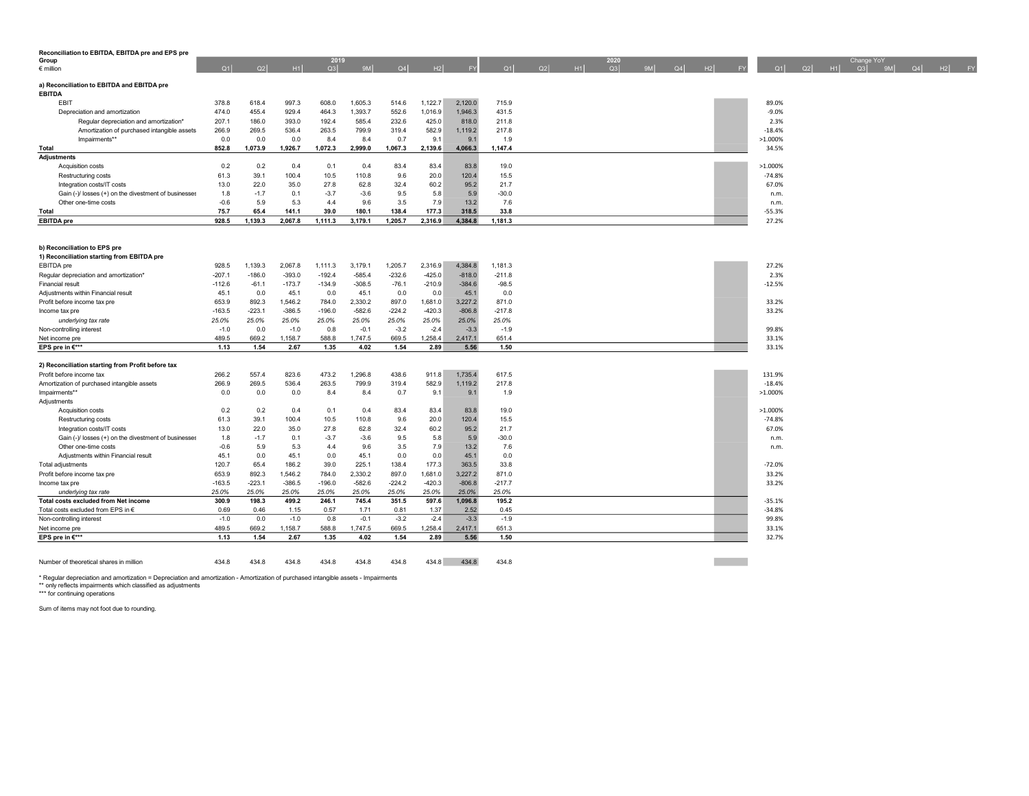| Reconciliation to EBITDA, EBITDA pre and EPS pre     |              |                |                |                |                |                |                |                |                |    |    |            |  |                |           |                  |                     |                   |  |                       |
|------------------------------------------------------|--------------|----------------|----------------|----------------|----------------|----------------|----------------|----------------|----------------|----|----|------------|--|----------------|-----------|------------------|---------------------|-------------------|--|-----------------------|
| Group<br>$\epsilon$ million                          | Q1           | Q2             | $-H1$          | 2019<br>Q3     | 9M             | Q4             | H2             | FY             | Q1             | Q2 | H1 | 2020<br>Q3 |  | $9M$ $Q4$ $H2$ | <b>FY</b> |                  | $Q1$ $Q2$ $H1$ $Q3$ | Change YoY<br>9ML |  | $\overline{Q4}$ H2 FY |
|                                                      |              |                |                |                |                |                |                |                |                |    |    |            |  |                |           |                  |                     |                   |  |                       |
| a) Reconciliation to EBITDA and EBITDA pre           |              |                |                |                |                |                |                |                |                |    |    |            |  |                |           |                  |                     |                   |  |                       |
| <b>EBITDA</b>                                        |              |                |                |                |                |                |                |                |                |    |    |            |  |                |           |                  |                     |                   |  |                       |
| EBIT                                                 | 378.8        | 618.4          | 997.3          | 608.0          | 1,605.3        | 514.6          | 1,122.7        | 2,120.0        | 715.9          |    |    |            |  |                |           | 89.0%            |                     |                   |  |                       |
| Depreciation and amortization                        | 474.0        | 455.4          | 929.4          | 464.3          | 1,393.7        | 552.6          | 1,016.9        | 1,946.3        | 431.5          |    |    |            |  |                |           | $-9.0%$          |                     |                   |  |                       |
| Regular depreciation and amortization*               | 207.1        | 186.0          | 393.0          | 192.4          | 585.4          | 232.6          | 425.0          | 818.0          | 211.8          |    |    |            |  |                |           | 2.3%             |                     |                   |  |                       |
| Amortization of purchased intangible assets          | 266.9        | 269.5          | 536.4          | 263.5          | 799.9          | 319.4          | 582.9          | 1,119.2        | 217.8          |    |    |            |  |                |           | $-18.4%$         |                     |                   |  |                       |
| Impairments**                                        | 0.0<br>852.8 | 0.0<br>1,073.9 | 0.0<br>1,926.7 | 8.4<br>1,072.3 | 8.4<br>2,999.0 | 0.7<br>1,067.3 | 9.1<br>2,139.6 | 9.1<br>4,066.3 | 1.9<br>1,147.4 |    |    |            |  |                |           | >1.000%<br>34.5% |                     |                   |  |                       |
| Total<br><b>Adjustments</b>                          |              |                |                |                |                |                |                |                |                |    |    |            |  |                |           |                  |                     |                   |  |                       |
| Acquisition costs                                    | 0.2          | 0.2            | 0.4            | 0.1            | 0.4            | 83.4           | 83.4           | 83.8           | 19.0           |    |    |            |  |                |           | >1.000%          |                     |                   |  |                       |
| Restructuring costs                                  | 61.3         | 39.1           | 100.4          | 10.5           | 110.8          | 9.6            | 20.0           | 120.4          | 15.5           |    |    |            |  |                |           | $-74.8%$         |                     |                   |  |                       |
| Integration costs/IT costs                           | 13.0         | 22.0           | 35.0           | 27.8           | 62.8           | 32.4           | 60.2           | 95.2           | 21.7           |    |    |            |  |                |           | 67.0%            |                     |                   |  |                       |
| Gain (-)/ losses (+) on the divestment of businesses | 1.8          | $-1.7$         | 0.1            | $-3.7$         | $-3.6$         | 9.5            | 5.8            | 5.9            | $-30.0$        |    |    |            |  |                |           | n.m.             |                     |                   |  |                       |
| Other one-time costs                                 | $-0.6$       | 5.9            | 5.3            | 4.4            | 9.6            | 3.5            | 7.9            | 13.2           | 7.6            |    |    |            |  |                |           | n.m.             |                     |                   |  |                       |
| Total                                                | 75.7         | 65.4           | 141.1          | 39.0           | 180.1          | 138.4          | 177.3          | 318.5          | 33.8           |    |    |            |  |                |           | $-55.3%$         |                     |                   |  |                       |
| <b>EBITDA</b> pre                                    | 928.5        | 1,139.3        | 2,067.8        | 1,111.3        | 3,179.1        | 1,205.7        | 2,316.9        | 4,384.8        | 1,181.3        |    |    |            |  |                |           | 27.2%            |                     |                   |  |                       |
|                                                      |              |                |                |                |                |                |                |                |                |    |    |            |  |                |           |                  |                     |                   |  |                       |
|                                                      |              |                |                |                |                |                |                |                |                |    |    |            |  |                |           |                  |                     |                   |  |                       |
| b) Reconciliation to EPS pre                         |              |                |                |                |                |                |                |                |                |    |    |            |  |                |           |                  |                     |                   |  |                       |
| 1) Reconciliation starting from EBITDA pre           |              |                |                |                |                |                |                |                |                |    |    |            |  |                |           |                  |                     |                   |  |                       |
| EBITDA pre                                           | 928.5        | 1,139.3        | 2,067.8        | 1,111.3        | 3,179.1        | 1,205.7        | 2,316.9        | 4,384.8        | 1,181.3        |    |    |            |  |                |           | 27.2%            |                     |                   |  |                       |
| Regular depreciation and amortization*               | $-207.1$     | $-186.0$       | $-393.0$       | $-192.4$       | $-585.4$       | $-232.6$       | $-425.0$       | $-818.0$       | $-211.8$       |    |    |            |  |                |           | 2.3%             |                     |                   |  |                       |
| Financial result                                     | $-112.6$     | $-61.1$        | $-173.7$       | $-134.9$       | $-308.5$       | $-76.1$        | $-210.9$       | $-384.6$       | $-98.5$        |    |    |            |  |                |           | $-12.5%$         |                     |                   |  |                       |
| Adjustments within Financial result                  | 45.1         | 0.0            | 45.1           | 0.0            | 45.1           | 0.0            | 0.0            | 45.1           | 0.0            |    |    |            |  |                |           |                  |                     |                   |  |                       |
| Profit before income tax pre                         | 653.9        | 892.3          | 1,546.2        | 784.0          | 2,330.2        | 897.0          | 1,681.0        | 3,227.2        | 871.0          |    |    |            |  |                |           | 33.2%            |                     |                   |  |                       |
| Income tax pre                                       | $-163.5$     | $-223.1$       | $-386.5$       | $-196.0$       | $-582.6$       | $-224.2$       | $-420.3$       | $-806.8$       | $-217.8$       |    |    |            |  |                |           | 33.2%            |                     |                   |  |                       |
| underlying tax rate                                  | 25.0%        | 25.0%          | 25.0%          | 25.0%          | 25.0%          | 25.0%          | 25.0%          | 25.0%          | 25.0%          |    |    |            |  |                |           |                  |                     |                   |  |                       |
| Non-controlling interest                             | $-1.0$       | 0.0            | $-1.0$         | 0.8            | $-0.1$         | $-3.2$         | $-2.4$         | $-3.3$         | $-1.9$         |    |    |            |  |                |           | 99.8%            |                     |                   |  |                       |
| Net income pre                                       | 489.5        | 669.2          | 1.158.7        | 588.8          | 1.747.5        | 669.5          | 1.258.4        | 2.417.1        | 651.4          |    |    |            |  |                |           | 33.1%            |                     |                   |  |                       |
| EPS pre in €***                                      | 1.13         | 1.54           | 2.67           | 1.35           | 4.02           | 1.54           | 2.89           | 5.56           | 1.50           |    |    |            |  |                |           | 33.1%            |                     |                   |  |                       |
|                                                      |              |                |                |                |                |                |                |                |                |    |    |            |  |                |           |                  |                     |                   |  |                       |
| 2) Reconciliation starting from Profit before tax    |              |                |                |                |                |                |                |                |                |    |    |            |  |                |           |                  |                     |                   |  |                       |
| Profit before income tax                             | 266.2        | 557.4          | 823.6          | 473.2          | 1.296.8        | 438.6          | 911.8          | 1,735.4        | 617.5          |    |    |            |  |                |           | 131.9%           |                     |                   |  |                       |
| Amortization of purchased intangible assets          | 266.9        | 269.5          | 536.4          | 263.5          | 799.9          | 319.4          | 582.9          | 1,119.2        | 217.8          |    |    |            |  |                |           | $-18.4%$         |                     |                   |  |                       |
| Impairments*'                                        | 0.0          | 0.0            | 0.0            | 8.4            | 8.4            | 0.7            | 9.1            | 9.1            | 1.9            |    |    |            |  |                |           | >1.000%          |                     |                   |  |                       |
| Adjustments                                          |              |                |                |                |                |                |                |                |                |    |    |            |  |                |           |                  |                     |                   |  |                       |
| Acquisition costs                                    | 0.2          | 0.2            | 0.4            | 0.1            | 0.4            | 83.4           | 83.4           | 83.8           | 19.0           |    |    |            |  |                |           | $>1.000\%$       |                     |                   |  |                       |
| Restructuring costs                                  | 61.3         | 39.1           | 100.4          | 10.5           | 110.8          | 9.6            | 20.0           | 120.4          | 15.5           |    |    |            |  |                |           | $-74.8%$         |                     |                   |  |                       |
| Integration costs/IT costs                           | 13.0         | 22.0           | 35.0           | 27.8           | 62.8           | 32.4           | 60.2           | 95.2           | 21.7           |    |    |            |  |                |           | 67.0%            |                     |                   |  |                       |
| Gain (-)/ losses (+) on the divestment of businesses | 1.8          | $-1.7$         | 0.1            | $-3.7$         | $-3.6$         | 9.5            | 5.8            | 5.9            | $-30.0$        |    |    |            |  |                |           | n.m.             |                     |                   |  |                       |
| Other one-time costs                                 | $-0.6$       | 5.9            | 5.3            | 4.4            | 9.6            | 3.5            | 7.9            | 13.2           | 7.6            |    |    |            |  |                |           | n.m.             |                     |                   |  |                       |
| Adjustments within Financial result                  | 45.1         | 0.0            | 45.1           | 0.0            | 45.1           | 0.0            | 0.0            | 45.1           | 0.0            |    |    |            |  |                |           |                  |                     |                   |  |                       |
| Total adjustments                                    | 120.7        | 65.4           | 186.2          | 39.0           | 225.1          | 138.4          | 177.3          | 363.5          | 33.8           |    |    |            |  |                |           | $-72.0%$         |                     |                   |  |                       |
| Profit before income tax pre                         | 653.9        | 892.3          | 1,546.2        | 784.0          | 2,330.2        | 897.0          | 1,681.0        | 3,227.2        | 871.0          |    |    |            |  |                |           | 33.2%            |                     |                   |  |                       |
| Income tax pre                                       | $-163.5$     | $-223.1$       | $-386.5$       | $-196.0$       | $-582.6$       | $-224.2$       | $-420.3$       | $-806.8$       | $-217.7$       |    |    |            |  |                |           | 33.2%            |                     |                   |  |                       |
| underlying tax rate                                  | 25.0%        | 25.0%          | 25.0%          | 25.0%          | 25.0%          | 25.0%          | 25.0%          | 25.0%          | 25.0%          |    |    |            |  |                |           |                  |                     |                   |  |                       |
| Total costs excluded from Net income                 | 300.9        | 198.3          | 499.2          | 246.1          | 745.4          | 351.5          | 597.6          | 1,096.8        | 195.2          |    |    |            |  |                |           | $-35.1%$         |                     |                   |  |                       |
| Total costs excluded from EPS in €                   | 0.69         | 0.46           | 1.15           | 0.57           | 1.71           | 0.81           | 1.37           | 2.52           | 0.45           |    |    |            |  |                |           | $-34.8%$         |                     |                   |  |                       |
| Non-controlling interest                             | $-1.0$       | 0.0            | $-1.0$         | 0.8            | $-0.1$         | $-3.2$         | $-2.4$         | $-3.3$         | $-1.9$         |    |    |            |  |                |           | 99.8%            |                     |                   |  |                       |
| Net income pre                                       | 489.5        | 669.2          | 1,158.7        | 588.8          | 1,747.5        | 669.5          | 1,258.4        | 2,417.1        | 651.3          |    |    |            |  |                |           | 33.1%            |                     |                   |  |                       |
| EPS pre in €***                                      | 1.13         | 1.54           | 2.67           | 1.35           | 4.02           | 1.54           | 2.89           | 5.56           | 1.50           |    |    |            |  |                |           | 32.7%            |                     |                   |  |                       |
|                                                      |              |                |                |                |                |                |                |                |                |    |    |            |  |                |           |                  |                     |                   |  |                       |
|                                                      |              |                |                |                |                |                |                |                |                |    |    |            |  |                |           |                  |                     |                   |  |                       |
| Number of theoretical shares in million              | 434.8        | 434.8          | 434.8          | 434.8          | 434.8          | 434.8          | 434.8          | 434.8          | 434.8          |    |    |            |  |                |           |                  |                     |                   |  |                       |

Number of theoretical shares in million 434.8 434.8 434.8 434.8 434.8 434.8 434.8 434.8 434.8

\* Regular depreciation and amortization = Depreciation and amortization - Amortization of purchased intangible assets - Impairments<br>\*\* only reflects impairments which classified as adjustments<br>\*\*\* for continuing operations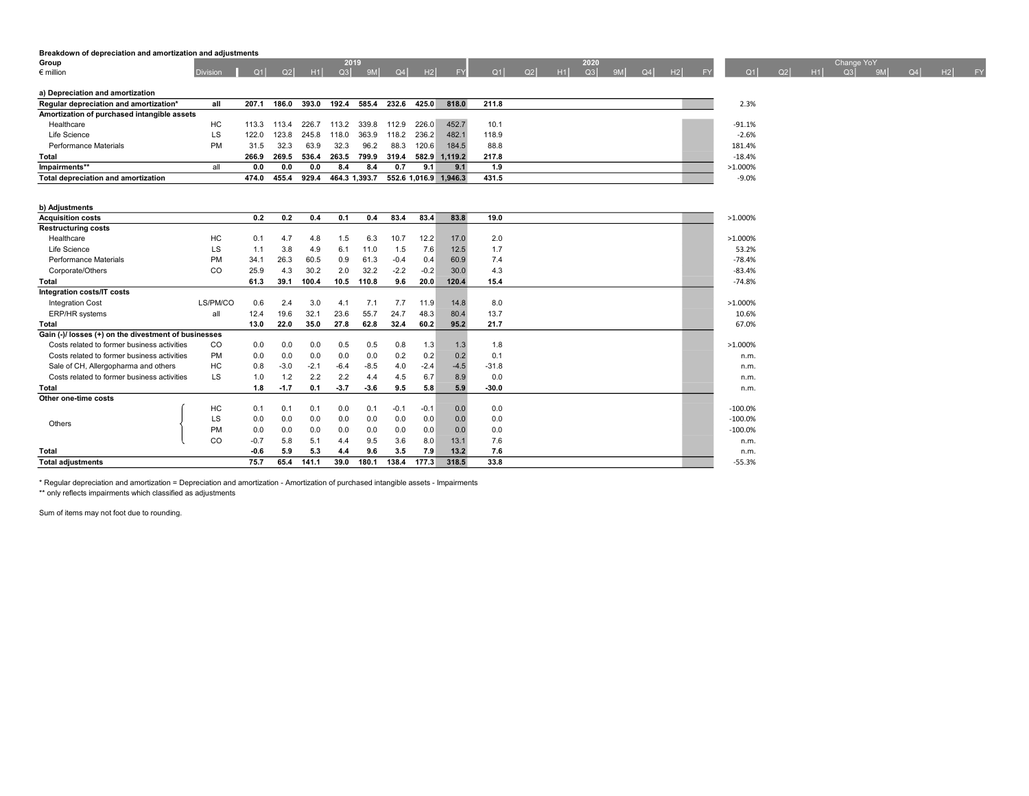# Breakdown of depreciation and amortization and adjustments

| Group                                       |                 |                |       |       | 2019          |       |       |       |                       |       |    |    | 2020 |    |    |    |    |          |    |    | Change YoY |    |    |    |           |
|---------------------------------------------|-----------------|----------------|-------|-------|---------------|-------|-------|-------|-----------------------|-------|----|----|------|----|----|----|----|----------|----|----|------------|----|----|----|-----------|
| $\epsilon$ million                          | <b>Division</b> | O <sub>1</sub> | Q2    | H1    | Q3            | 9M    | $Q_4$ | H2    | <b>EY</b>             | Q1    | Q2 | H1 | Q3   | 9M | Q4 | H2 | EV | Q1       | Q2 | H1 | Q3         | 9M | Q4 | H2 | <b>FY</b> |
|                                             |                 |                |       |       |               |       |       |       |                       |       |    |    |      |    |    |    |    |          |    |    |            |    |    |    |           |
| a) Depreciation and amortization            |                 |                |       |       |               |       |       |       |                       |       |    |    |      |    |    |    |    |          |    |    |            |    |    |    |           |
| Regular depreciation and amortization*      | all             | 207.1          | 186.0 | 393.0 | 192.4         | 585.4 | 232.6 | 425.0 | 818.0                 | 211.8 |    |    |      |    |    |    |    | 2.3%     |    |    |            |    |    |    |           |
| Amortization of purchased intangible assets |                 |                |       |       |               |       |       |       |                       |       |    |    |      |    |    |    |    |          |    |    |            |    |    |    |           |
| Healthcare                                  | НC              | 113.3          | 113.4 | 226.7 | 113.2         | 339.8 | 112.9 | 226.0 | 452.7                 | 10.1  |    |    |      |    |    |    |    | $-91.1%$ |    |    |            |    |    |    |           |
| Life Science                                | LS.             | 122.0          | 123.8 | 245.8 | 118.0         | 363.9 | 118.2 | 236.2 | 482.1                 | 118.9 |    |    |      |    |    |    |    | $-2.6%$  |    |    |            |    |    |    |           |
| Performance Materials                       | <b>PM</b>       | 31.5           | 32.3  | 63.9  | 32.3          | 96.2  | 88.3  | 120.6 | 184.5                 | 88.8  |    |    |      |    |    |    |    | 181.4%   |    |    |            |    |    |    |           |
| <b>Total</b>                                |                 | 266.9          | 269.5 | 536.4 | 263.5         | 799.9 | 319.4 | 582.9 | 1.119.2               | 217.8 |    |    |      |    |    |    |    | $-18.4%$ |    |    |            |    |    |    |           |
| Impairments**                               | all             | 0.0            | 0.0   | 0.0   | 8.4           | 8.4   | 0.7   | 9.1   | 9.1                   | 1.9   |    |    |      |    |    |    |    | >1.000%  |    |    |            |    |    |    |           |
| Total depreciation and amortization         |                 | 474.0          | 455.4 | 929.4 | 464.3 1,393.7 |       |       |       | 552.6 1,016.9 1,946.3 | 431.5 |    |    |      |    |    |    |    | $-9.0%$  |    |    |            |    |    |    |           |

| b) Adjustments                                       |               |        |        |        |        |        |        |        |        |         |            |
|------------------------------------------------------|---------------|--------|--------|--------|--------|--------|--------|--------|--------|---------|------------|
| <b>Acquisition costs</b>                             |               | 0.2    | 0.2    | 0.4    | 0.1    | 0.4    | 83.4   | 83.4   | 83.8   | 19.0    | >1.000%    |
| <b>Restructuring costs</b>                           |               |        |        |        |        |        |        |        |        |         |            |
| Healthcare                                           | HC            | 0.1    | 4.7    | 4.8    | 1.5    | 6.3    | 10.7   | 12.2   | 17.0   | 2.0     | $>1.000\%$ |
| Life Science                                         | LS            | 1.1    | 3.8    | 4.9    | 6.1    | 11.0   | 1.5    | 7.6    | 12.5   | 1.7     |            |
| Performance Materials                                | <b>PM</b>     | 34.1   | 26.3   | 60.5   | 0.9    | 61.3   | $-0.4$ | 0.4    | 60.9   | 7.4     | $-78.4%$   |
| Corporate/Others                                     | <sub>CO</sub> | 25.9   | 4.3    | 30.2   | 2.0    | 32.2   | $-2.2$ | $-0.2$ | 30.0   | 4.3     |            |
| <b>Total</b>                                         |               | 61.3   | 39.1   | 100.4  | 10.5   | 110.8  | 9.6    | 20.0   | 120.4  | 15.4    | $-74.8%$   |
| Integration costs/IT costs                           |               |        |        |        |        |        |        |        |        |         |            |
| <b>Integration Cost</b>                              | LS/PM/CO      | 0.6    | 2.4    | 3.0    | 4.1    | 7.1    | 7.7    | 11.9   | 14.8   | 8.0     | >1.000%    |
| ERP/HR systems                                       | all           | 12.4   | 19.6   | 32.1   | 23.6   | 55.7   | 24.7   | 48.3   | 80.4   | 13.7    |            |
| Total                                                |               | 13.0   | 22.0   | 35.0   | 27.8   | 62.8   | 32.4   | 60.2   | 95.2   | 21.7    |            |
| Gain (-)/ losses (+) on the divestment of businesses |               |        |        |        |        |        |        |        |        |         |            |
| Costs related to former business activities          | CO.           | 0.0    | 0.0    | 0.0    | 0.5    | 0.5    | 0.8    | 1.3    | 1.3    | 1.8     | $>1.000\%$ |
| Costs related to former business activities          | <b>PM</b>     | 0.0    | 0.0    | 0.0    | 0.0    | 0.0    | 0.2    | 0.2    | 0.2    | 0.1     |            |
| Sale of CH, Allergopharma and others                 | HC            | 0.8    | $-3.0$ | $-2.1$ | $-6.4$ | $-8.5$ | 4.0    | $-2.4$ | $-4.5$ | $-31.8$ |            |
| Costs related to former business activities          | LS            | 1.0    | 1.2    | 2.2    | 2.2    | 4.4    | 4.5    | 6.7    | 8.9    | 0.0     |            |
| <b>Total</b>                                         |               | 1.8    | $-1.7$ | 0.1    | $-3.7$ | $-3.6$ | 9.5    | 5.8    | 5.9    | $-30.0$ |            |
| Other one-time costs                                 |               |        |        |        |        |        |        |        |        |         |            |
|                                                      | HC            | 0.1    | 0.1    | 0.1    | 0.0    | 0.1    | $-0.1$ | $-0.1$ | 0.0    | 0.0     | $-100.0%$  |
| Others                                               | LS            | 0.0    | 0.0    | 0.0    | 0.0    | 0.0    | 0.0    | 0.0    | 0.0    | 0.0     | $-100.0%$  |
|                                                      | PM            | 0.0    | 0.0    | 0.0    | 0.0    | 0.0    | 0.0    | 0.0    | 0.0    | 0.0     | $-100.0%$  |
|                                                      | CO            | $-0.7$ | 5.8    | 5.1    | 4.4    | 9.5    | 3.6    | 8.0    | 13.1   | 7.6     |            |
| <b>Total</b>                                         |               | $-0.6$ | 5.9    | 5.3    | 4.4    | 9.6    | 3.5    | 7.9    | 13.2   | 7.6     |            |
| <b>Total adjustments</b>                             |               | 75.7   | 65.4   | 141.1  | 39.0   | 180.1  | 138.4  | 177.3  | 318.5  | 33.8    | $-55.3%$   |

\* Regular depreciation and amortization = Depreciation and amortization - Amortization of purchased intangible assets - Impairments

\*\* only reflects impairments which classified as adjustments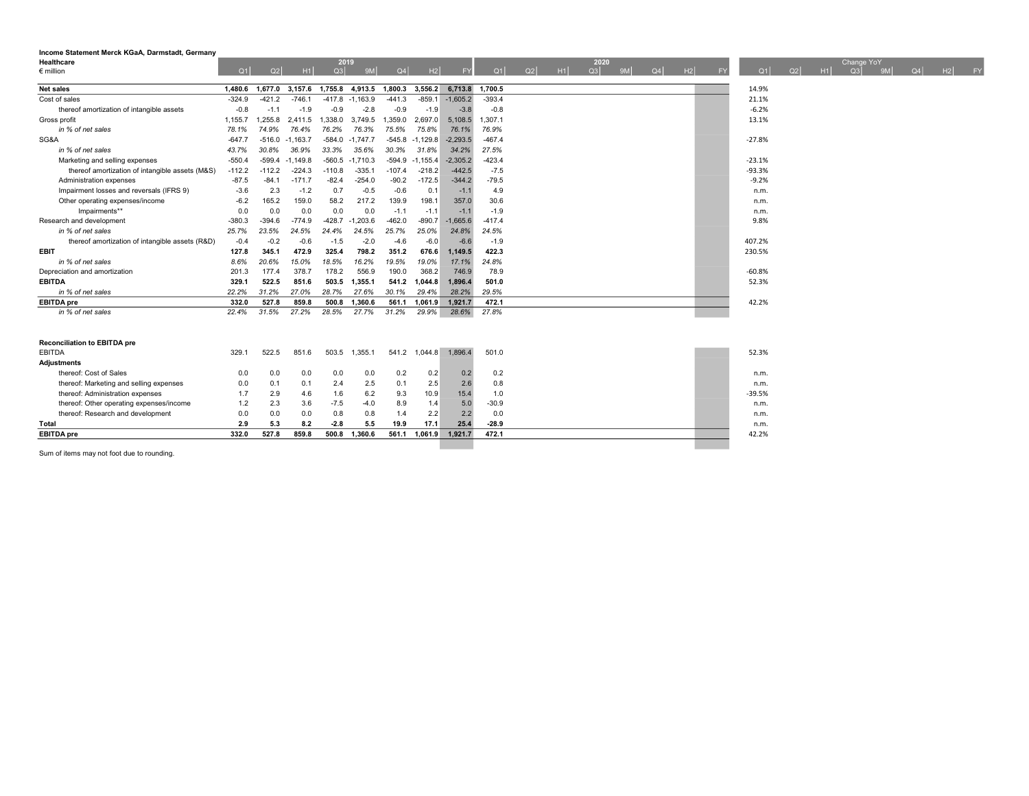| Income Statement Merck KGaA, Darmstadt, Germany |          |          |            |          |            |          |               |            |                 |    |    |      |    |    |    |    |          |    |    |           |            |    |         |
|-------------------------------------------------|----------|----------|------------|----------|------------|----------|---------------|------------|-----------------|----|----|------|----|----|----|----|----------|----|----|-----------|------------|----|---------|
| Healthcare                                      |          |          |            |          | 2019       |          |               |            |                 |    |    | 2020 |    |    |    |    |          |    |    |           | Change YoY |    |         |
| $\epsilon$ million                              | Q1       | Q2       | H1         | Q3       | 9M         | Q4       | H2            | <b>FY</b>  | Q1              | Q2 | H1 | Q3   | 9M | Q4 | H2 | FY | Q1       | Q2 | H1 | $\sim$ Q3 | 9MI        | Q4 | $H2$ FY |
| <b>Net sales</b>                                | 1.480.6  | 1.677.0  | 3.157.6    | 1.755.8  | 4.913.5    | 1.800.3  | 3.556.2       |            | 6,713.8 1,700.5 |    |    |      |    |    |    |    | 14.9%    |    |    |           |            |    |         |
| Cost of sales                                   | $-324.9$ | $-421.2$ | $-746.1$   | $-417.8$ | $-1,163.9$ | $-441.3$ | $-859.1$      | $-1,605.2$ | $-393.4$        |    |    |      |    |    |    |    | 21.1%    |    |    |           |            |    |         |
| thereof amortization of intangible assets       | $-0.8$   | $-1.1$   | $-1.9$     | $-0.9$   | $-2.8$     | $-0.9$   | $-1.9$        | $-3.8$     | $-0.8$          |    |    |      |    |    |    |    | $-6.2%$  |    |    |           |            |    |         |
| Gross profit                                    | 1,155.7  | 1.255.8  | 2,411.5    | 1.338.0  | 3,749.5    | 1.359.0  | 2.697.0       | 5.108.5    | 1.307.1         |    |    |      |    |    |    |    | 13.1%    |    |    |           |            |    |         |
| in % of net sales                               | 78.1%    | 74.9%    | 76.4%      | 76.2%    | 76.3%      | 75.5%    | 75.8%         | 76.1%      | 76.9%           |    |    |      |    |    |    |    |          |    |    |           |            |    |         |
| SG&A                                            | $-647.7$ | $-516.0$ | $-1,163.7$ | $-584.0$ | $-1.747.7$ | $-545.8$ | $-1,129.8$    | $-2.293.5$ | $-467.4$        |    |    |      |    |    |    |    | $-27.8%$ |    |    |           |            |    |         |
| in % of net sales                               | 43.7%    | 30.8%    | 36.9%      | 33.3%    | 35.6%      | 30.3%    | 31.8%         | 34.2%      | 27.5%           |    |    |      |    |    |    |    |          |    |    |           |            |    |         |
| Marketing and selling expenses                  | $-550.4$ | $-599.4$ | $-1.149.8$ | $-560.5$ | $-1,710.3$ | $-594.9$ | $-1.155.4$    | $-2.305.2$ | $-423.4$        |    |    |      |    |    |    |    | $-23.1%$ |    |    |           |            |    |         |
| thereof amortization of intangible assets (M&S) | $-112.2$ | $-112.2$ | $-224.3$   | $-110.8$ | $-335.1$   | $-107.4$ | $-218.2$      | $-442.5$   | $-7.5$          |    |    |      |    |    |    |    | $-93.3%$ |    |    |           |            |    |         |
| Administration expenses                         | $-87.5$  | $-84.1$  | $-171.7$   | $-82.4$  | $-254.0$   | $-90.2$  | $-172.5$      | $-344.2$   | $-79.5$         |    |    |      |    |    |    |    | $-9.2%$  |    |    |           |            |    |         |
| Impairment losses and reversals (IFRS 9)        | $-3.6$   | 2.3      | $-1.2$     | 0.7      | $-0.5$     | $-0.6$   | 0.1           | $-1.1$     | 4.9             |    |    |      |    |    |    |    | n.m.     |    |    |           |            |    |         |
| Other operating expenses/income                 | $-6.2$   | 165.2    | 159.0      | 58.2     | 217.2      | 139.9    | 198.1         | 357.0      | 30.6            |    |    |      |    |    |    |    | n.m.     |    |    |           |            |    |         |
| Impairments**                                   | 0.0      | 0.0      | 0.0        | 0.0      | 0.0        | $-1.1$   | $-1.1$        | $-1.1$     | $-1.9$          |    |    |      |    |    |    |    | n.m.     |    |    |           |            |    |         |
| Research and development                        | $-380.3$ | $-394.6$ | $-774.9$   | $-428.7$ | $-1.203.6$ | $-462.0$ | $-890.7$      | $-1.665.6$ | $-417.4$        |    |    |      |    |    |    |    | 9.8%     |    |    |           |            |    |         |
| in % of net sales                               | 25.7%    | 23.5%    | 24.5%      | 24.4%    | 24.5%      | 25.7%    | 25.0%         | 24.8%      | 24.5%           |    |    |      |    |    |    |    |          |    |    |           |            |    |         |
| thereof amortization of intangible assets (R&D) | $-0.4$   | $-0.2$   | $-0.6$     | $-1.5$   | $-2.0$     | $-4.6$   | $-6.0$        | $-6.6$     | $-1.9$          |    |    |      |    |    |    |    | 407.2%   |    |    |           |            |    |         |
| <b>EBIT</b>                                     | 127.8    | 345.1    | 472.9      | 325.4    | 798.2      | 351.2    | 676.6         | 1.149.5    | 422.3           |    |    |      |    |    |    |    | 230.5%   |    |    |           |            |    |         |
| in % of net sales                               | 8.6%     | 20.6%    | 15.0%      | 18.5%    | 16.2%      | 19.5%    | 19.0%         | 17.1%      | 24.8%           |    |    |      |    |    |    |    |          |    |    |           |            |    |         |
| Depreciation and amortization                   | 201.3    | 177.4    | 378.7      | 178.2    | 556.9      | 190.0    | 368.2         | 746.9      | 78.9            |    |    |      |    |    |    |    | $-60.8%$ |    |    |           |            |    |         |
| <b>EBITDA</b>                                   | 329.1    | 522.5    | 851.6      | 503.5    | 1,355.1    |          | 541.2 1,044.8 | 1,896.4    | 501.0           |    |    |      |    |    |    |    | 52.3%    |    |    |           |            |    |         |
| in % of net sales                               | 22.2%    | 31.2%    | 27.0%      | 28.7%    | 27.6%      | 30.1%    | 29.4%         | 28.2%      | 29.5%           |    |    |      |    |    |    |    |          |    |    |           |            |    |         |
| <b>EBITDA</b> pre                               | 332.0    | 527.8    | 859.8      | 500.8    | 1.360.6    | 561.1    | 1.061.9       | 1.921.7    | 472.1           |    |    |      |    |    |    |    | 42.2%    |    |    |           |            |    |         |
| in % of net sales                               | 22.4%    | 31.5%    | 27.2%      | 28.5%    | 27.7%      | 31.2%    | 29.9%         | 28.6%      | 27.8%           |    |    |      |    |    |    |    |          |    |    |           |            |    |         |
|                                                 |          |          |            |          |            |          |               |            |                 |    |    |      |    |    |    |    |          |    |    |           |            |    |         |
|                                                 |          |          |            |          |            |          |               |            |                 |    |    |      |    |    |    |    |          |    |    |           |            |    |         |
| <b>Reconciliation to EBITDA pre</b>             |          |          |            |          |            |          |               |            |                 |    |    |      |    |    |    |    |          |    |    |           |            |    |         |
| <b>EBITDA</b>                                   | 329.7    | 522.5    | 851.6      | 503.5    | 1,355.1    |          | 541.2 1,044.8 | 1,896.4    | 501.0           |    |    |      |    |    |    |    | 52.3%    |    |    |           |            |    |         |
| <b>Adiustments</b>                              |          |          |            |          |            |          |               |            |                 |    |    |      |    |    |    |    |          |    |    |           |            |    |         |
| thereof: Cost of Sales                          | 0.0      | 0.0      | 0.0        | 0.0      | 0.0        | 0.2      | 0.2           | 0.2        | 0.2             |    |    |      |    |    |    |    | n.m.     |    |    |           |            |    |         |
| thereof: Marketing and selling expenses         | 0.0      | 0.1      | 0.1        | 2.4      | 2.5        | 0.1      | 2.5           | 2.6        | 0.8             |    |    |      |    |    |    |    | n.m.     |    |    |           |            |    |         |
| thereof: Administration expenses                | 1.7      | 2.9      | 4.6        | 1.6      | 6.2        | 9.3      | 10.9          | 15.4       | 1.0             |    |    |      |    |    |    |    | $-39.5%$ |    |    |           |            |    |         |
| thereof: Other operating expenses/income        | 1.2      | 2.3      | 3.6        | $-7.5$   | $-4.0$     | 8.9      | 1.4           | 5.0        | $-30.9$         |    |    |      |    |    |    |    | n.m.     |    |    |           |            |    |         |
| thereof: Research and development               | 0.0      | 0.0      | 0.0        | 0.8      | 0.8        | 1.4      | 2.2           | 2.2        | 0.0             |    |    |      |    |    |    |    | n.m.     |    |    |           |            |    |         |
| <b>Total</b>                                    | 2.9      | 5.3      | 8.2        | $-2.8$   | 5.5        | 19.9     | 17.1          | 25.4       | $-28.9$         |    |    |      |    |    |    |    | n.m.     |    |    |           |            |    |         |
| <b>EBITDA</b> pre                               | 332.0    | 527.8    | 859.8      | 500.8    | 1.360.6    | 561.1    | 1.061.9       | 1.921.7    | 472.1           |    |    |      |    |    |    |    | 42.2%    |    |    |           |            |    |         |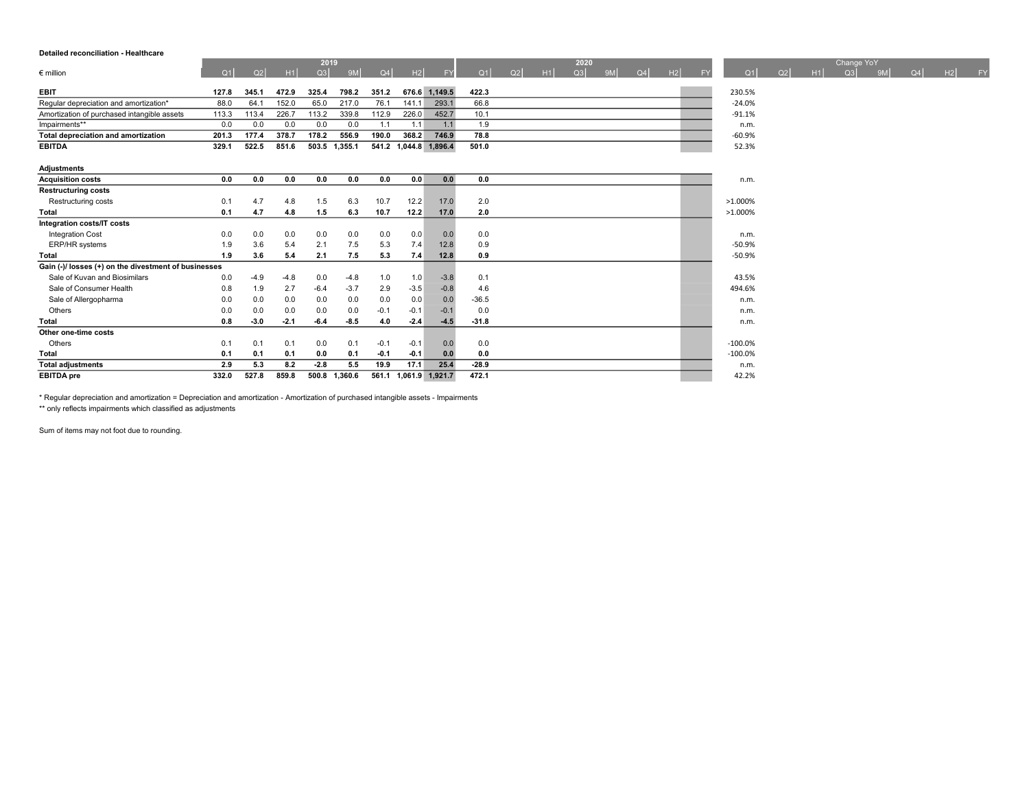### Detailed reconciliation - Healthcare

| Detailed reconciliation - Healthcare                 |       |        |        |            |               |        |        |                       |         |    |    |            |    |    |    |           |            |    |    |                  |    |    |    |    |
|------------------------------------------------------|-------|--------|--------|------------|---------------|--------|--------|-----------------------|---------|----|----|------------|----|----|----|-----------|------------|----|----|------------------|----|----|----|----|
| $\epsilon$ million                                   | Q1    | Q2     | H1     | 2019<br>Q3 | 9M            | Q4     | H2     | <b>FY</b>             | Q1      | Q2 | H1 | 2020<br>Q3 | 9M | Q4 | H2 | <b>FY</b> | Q1         | Q2 | H1 | Change YoY<br>Q3 | 9M | Q4 | H2 | FY |
| <b>EBIT</b>                                          | 127.8 | 345.1  | 472.9  | 325.4      | 798.2         | 351.2  |        | 676.6 1,149.5         | 422.3   |    |    |            |    |    |    |           | 230.5%     |    |    |                  |    |    |    |    |
| Regular depreciation and amortization*               | 88.0  | 64.1   | 152.0  | 65.0       | 217.0         | 76.1   | 141.1  | 293.1                 | 66.8    |    |    |            |    |    |    |           | $-24.0%$   |    |    |                  |    |    |    |    |
| Amortization of purchased intangible assets          | 113.3 | 113.4  | 226.7  | 113.2      | 339.8         | 112.9  | 226.0  | 452.7                 | 10.1    |    |    |            |    |    |    |           | $-91.1%$   |    |    |                  |    |    |    |    |
| Impairments**                                        | 0.0   | 0.0    | 0.0    | 0.0        | 0.0           | 1.1    | 1.1    | 1.1                   | 1.9     |    |    |            |    |    |    |           | n.m.       |    |    |                  |    |    |    |    |
| <b>Total depreciation and amortization</b>           | 201.3 | 177.4  | 378.7  | 178.2      | 556.9         | 190.0  | 368.2  | 746.9                 | 78.8    |    |    |            |    |    |    |           | $-60.9%$   |    |    |                  |    |    |    |    |
| <b>EBITDA</b>                                        |       | 522.5  | 851.6  |            | 503.5 1,355.1 |        |        | 541.2 1,044.8 1,896.4 | 501.0   |    |    |            |    |    |    |           | 52.3%      |    |    |                  |    |    |    |    |
|                                                      | 329.1 |        |        |            |               |        |        |                       |         |    |    |            |    |    |    |           |            |    |    |                  |    |    |    |    |
| <b>Adjustments</b>                                   |       |        |        |            |               |        |        |                       |         |    |    |            |    |    |    |           |            |    |    |                  |    |    |    |    |
| <b>Acquisition costs</b>                             | 0.0   | 0.0    | 0.0    | 0.0        | 0.0           | 0.0    | 0.0    | 0.0                   | 0.0     |    |    |            |    |    |    |           | n.m.       |    |    |                  |    |    |    |    |
| <b>Restructuring costs</b>                           |       |        |        |            |               |        |        |                       |         |    |    |            |    |    |    |           |            |    |    |                  |    |    |    |    |
| Restructuring costs                                  | 0.1   | 4.7    | 4.8    | 1.5        | 6.3           | 10.7   | 12.2   | 17.0                  | 2.0     |    |    |            |    |    |    |           | $>1.000\%$ |    |    |                  |    |    |    |    |
| Total                                                | 0.1   | 4.7    | 4.8    | 1.5        | 6.3           | 10.7   | 12.2   | 17.0                  | 2.0     |    |    |            |    |    |    |           | >1.000%    |    |    |                  |    |    |    |    |
| Integration costs/IT costs                           |       |        |        |            |               |        |        |                       |         |    |    |            |    |    |    |           |            |    |    |                  |    |    |    |    |
| <b>Integration Cost</b>                              | 0.0   | 0.0    | 0.0    | 0.0        | 0.0           | 0.0    | 0.0    | 0.0                   | 0.0     |    |    |            |    |    |    |           | n.m.       |    |    |                  |    |    |    |    |
| ERP/HR systems                                       | 1.9   | 3.6    | 5.4    | 2.1        | 7.5           | 5.3    | 7.4    | 12.8                  | 0.9     |    |    |            |    |    |    |           | $-50.9%$   |    |    |                  |    |    |    |    |
| <b>Total</b>                                         | 1.9   | 3.6    | 5.4    | 2.1        | 7.5           | 5.3    | 7.4    | 12.8                  | 0.9     |    |    |            |    |    |    |           | $-50.9%$   |    |    |                  |    |    |    |    |
| Gain (-)/ losses (+) on the divestment of businesses |       |        |        |            |               |        |        |                       |         |    |    |            |    |    |    |           |            |    |    |                  |    |    |    |    |
| Sale of Kuvan and Biosimilars                        | 0.0   | $-4.9$ | $-4.8$ | 0.0        | $-4.8$        | 1.0    | 1.0    | $-3.8$                | 0.1     |    |    |            |    |    |    |           | 43.5%      |    |    |                  |    |    |    |    |
| Sale of Consumer Health                              | 0.8   | 1.9    | 2.7    | $-6.4$     | $-3.7$        | 2.9    | $-3.5$ | $-0.8$                | 4.6     |    |    |            |    |    |    |           | 494.6%     |    |    |                  |    |    |    |    |
| Sale of Allergopharma                                | 0.0   | 0.0    | 0.0    | 0.0        | 0.0           | 0.0    | 0.0    | 0.0                   | $-36.5$ |    |    |            |    |    |    |           | n.m.       |    |    |                  |    |    |    |    |
| Others                                               | 0.0   | 0.0    | 0.0    | 0.0        | 0.0           | $-0.1$ | $-0.1$ | $-0.1$                | 0.0     |    |    |            |    |    |    |           | n.m.       |    |    |                  |    |    |    |    |
| <b>Total</b>                                         | 0.8   | $-3.0$ | $-2.1$ | $-6.4$     | $-8.5$        | 4.0    | $-2.4$ | $-4.5$                | $-31.8$ |    |    |            |    |    |    |           | n.m.       |    |    |                  |    |    |    |    |
| Other one-time costs                                 |       |        |        |            |               |        |        |                       |         |    |    |            |    |    |    |           |            |    |    |                  |    |    |    |    |
| Others                                               | 0.1   | 0.1    | 0.1    | 0.0        | 0.1           | $-0.1$ | $-0.1$ | 0.0                   | 0.0     |    |    |            |    |    |    |           | $-100.0%$  |    |    |                  |    |    |    |    |
| <b>Total</b>                                         | 0.1   | 0.1    | 0.1    | 0.0        | 0.1           | $-0.1$ | $-0.1$ | 0.0                   | 0.0     |    |    |            |    |    |    |           | $-100.0%$  |    |    |                  |    |    |    |    |
| <b>Total adjustments</b>                             | 2.9   | 5.3    | 8.2    | $-2.8$     | 5.5           | 19.9   | 17.1   | 25.4                  | $-28.9$ |    |    |            |    |    |    |           | n.m.       |    |    |                  |    |    |    |    |
| <b>EBITDA</b> pre                                    | 332.0 | 527.8  | 859.8  | 500.8      | 1,360.6       | 561.1  |        | 1,061.9 1,921.7       | 472.1   |    |    |            |    |    |    |           | 42.2%      |    |    |                  |    |    |    |    |

\* Regular depreciation and amortization = Depreciation and amortization - Amortization of purchased intangible assets - Impairments

\*\* only reflects impairments which classified as adjustments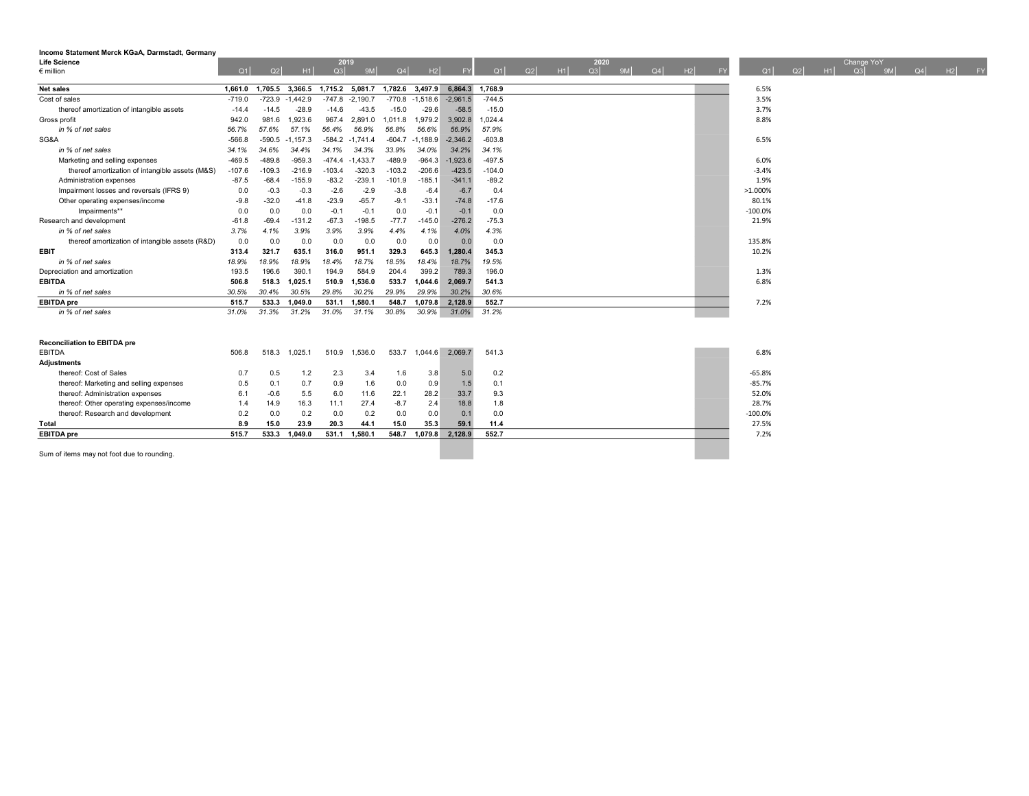| Income Statement Merck KGaA, Darmstadt, Germany |          |          |                 |          |                 |          |                   |            |          |    |          |    |    |    |    |            |    |            |    |    |    |    |
|-------------------------------------------------|----------|----------|-----------------|----------|-----------------|----------|-------------------|------------|----------|----|----------|----|----|----|----|------------|----|------------|----|----|----|----|
| Life Science                                    |          |          |                 | 2019     |                 |          |                   |            |          |    | 2020     |    |    |    |    |            |    | Change YoY |    |    |    |    |
| $\epsilon$ million                              | Q1       | Q2       | H1              | Q3       | 9M              | Q4       | H2                | <b>FY</b>  | Q1       | Q2 | Q3<br>H1 | 9M | Q4 | H2 | FY | Q1<br>Q2   | H1 | Q3         | 9M | Q4 | H2 | FY |
| <b>Net sales</b>                                | 1.661.0  |          | 1.705.5 3.366.5 |          | 1.715.2 5.081.7 |          | 1,782.6 3,497.9   | 6,864.3    | 1,768.9  |    |          |    |    |    |    | 6.5%       |    |            |    |    |    |    |
| Cost of sales                                   | $-719.0$ | $-723.9$ | $-1,442.9$      | $-747.8$ | $-2,190.7$      |          | $-770.8 -1,518.6$ | $-2,961.5$ | $-744.5$ |    |          |    |    |    |    | 3.5%       |    |            |    |    |    |    |
| thereof amortization of intangible assets       | $-14.4$  | $-14.5$  | $-28.9$         | $-14.6$  | $-43.5$         | $-15.0$  | $-29.6$           | $-58.5$    | $-15.0$  |    |          |    |    |    |    | 3.7%       |    |            |    |    |    |    |
| Gross profit                                    | 942.0    | 981.6    | 1.923.6         | 967.4    | 2,891.0         | 1,011.8  | 1,979.2           | 3,902.8    | 1.024.4  |    |          |    |    |    |    | 8.8%       |    |            |    |    |    |    |
| in % of net sales                               | 56.7%    | 57.6%    | 57.1%           | 56.4%    | 56.9%           | 56.8%    | 56.6%             | 56.9%      | 57.9%    |    |          |    |    |    |    |            |    |            |    |    |    |    |
| SG&A                                            | $-566.8$ | $-590.5$ | $-1,157.3$      | $-584.2$ | $-1.741.4$      | $-604.7$ | $-1,188.9$        | $-2,346.2$ | $-603.8$ |    |          |    |    |    |    | 6.5%       |    |            |    |    |    |    |
| in % of net sales                               | 34.1%    | 34.6%    | 34.4%           | 34.1%    | 34.3%           | 33.9%    | 34.0%             | 34.2%      | 34.1%    |    |          |    |    |    |    |            |    |            |    |    |    |    |
| Marketing and selling expenses                  | $-469.5$ | $-489.8$ | $-959.3$        | $-474.4$ | $-1.433.7$      | $-489.9$ | $-964.3$          | $-1.923.6$ | $-497.5$ |    |          |    |    |    |    | 6.0%       |    |            |    |    |    |    |
| thereof amortization of intangible assets (M&S) | $-107.6$ | $-109.3$ | $-216.9$        | $-103.4$ | $-320.3$        | $-103.2$ | $-206.6$          | $-423.5$   | $-104.0$ |    |          |    |    |    |    | $-3.4%$    |    |            |    |    |    |    |
| Administration expenses                         | $-87.5$  | $-68.4$  | $-155.9$        | $-83.2$  | $-239.1$        | $-101.9$ | $-185.1$          | $-341.1$   | $-89.2$  |    |          |    |    |    |    | 1.9%       |    |            |    |    |    |    |
| Impairment losses and reversals (IFRS 9)        | 0.0      | $-0.3$   | $-0.3$          | $-2.6$   | $-2.9$          | $-3.8$   | $-6.4$            | $-6.7$     | 0.4      |    |          |    |    |    |    | $>1.000\%$ |    |            |    |    |    |    |
| Other operating expenses/income                 | $-9.8$   | $-32.0$  | $-41.8$         | $-23.9$  | $-65.7$         | $-9.1$   | $-33.1$           | $-74.8$    | $-17.6$  |    |          |    |    |    |    | 80.1%      |    |            |    |    |    |    |
| Impairments**                                   | 0.0      | 0.0      | 0.0             | $-0.1$   | $-0.1$          | 0.0      | $-0.1$            | $-0.1$     | 0.0      |    |          |    |    |    |    | $-100.0%$  |    |            |    |    |    |    |
| Research and development                        | $-61.8$  | $-69.4$  | $-131.2$        | $-67.3$  | $-198.5$        | $-77.7$  | $-145.0$          | $-276.2$   | $-75.3$  |    |          |    |    |    |    | 21.9%      |    |            |    |    |    |    |
| in % of net sales                               | 3.7%     | 4.1%     | 3.9%            | 3.9%     | 3.9%            | 4.4%     | 4.1%              | 4.0%       | 4.3%     |    |          |    |    |    |    |            |    |            |    |    |    |    |
| thereof amortization of intangible assets (R&D) | 0.0      | 0.0      | 0.0             | 0.0      | 0.0             | 0.0      | 0.0               | 0.0        | 0.0      |    |          |    |    |    |    | 135.8%     |    |            |    |    |    |    |
| <b>EBIT</b>                                     | 313.4    | 321.7    | 635.1           | 316.0    | 951.1           | 329.3    | 645.3             | 1,280.4    | 345.3    |    |          |    |    |    |    | 10.2%      |    |            |    |    |    |    |
| in % of net sales                               | 18.9%    | 18.9%    | 18.9%           | 18.4%    | 18.7%           | 18.5%    | 18.4%             | 18.7%      | 19.5%    |    |          |    |    |    |    |            |    |            |    |    |    |    |
| Depreciation and amortization                   | 193.5    | 196.6    | 390.1           | 194.9    | 584.9           | 204.4    | 399.2             | 789.3      | 196.0    |    |          |    |    |    |    | 1.3%       |    |            |    |    |    |    |
| <b>EBITDA</b>                                   | 506.8    | 518.3    | 1,025.1         | 510.9    | 1,536.0         | 533.7    | 1,044.6           | 2,069.7    | 541.3    |    |          |    |    |    |    | 6.8%       |    |            |    |    |    |    |
| in % of net sales                               | 30.5%    | 30.4%    | 30.5%           | 29.8%    | 30.2%           | 29.9%    | 29.9%             | 30.2%      | 30.6%    |    |          |    |    |    |    |            |    |            |    |    |    |    |
| <b>EBITDA</b> pre                               | 515.7    | 533.3    | 1,049.0         | 531.1    | 1,580.1         | 548.7    | 1,079.8           | 2.128.9    | 552.7    |    |          |    |    |    |    | 7.2%       |    |            |    |    |    |    |
| in % of net sales                               | 31.0%    | 31.3%    | 31.2%           | 31.0%    | 31.1%           | 30.8%    | 30.9%             | 31.0%      | 31.2%    |    |          |    |    |    |    |            |    |            |    |    |    |    |
|                                                 |          |          |                 |          |                 |          |                   |            |          |    |          |    |    |    |    |            |    |            |    |    |    |    |
|                                                 |          |          |                 |          |                 |          |                   |            |          |    |          |    |    |    |    |            |    |            |    |    |    |    |
| <b>Reconciliation to EBITDA pre</b>             |          |          |                 |          |                 |          |                   |            |          |    |          |    |    |    |    |            |    |            |    |    |    |    |
| <b>EBITDA</b>                                   | 506.8    | 518.3    | 1,025.1         | 510.9    | 1,536.0         | 533.7    | 1,044.6           | 2,069.7    | 541.3    |    |          |    |    |    |    | 6.8%       |    |            |    |    |    |    |
| <b>Adjustments</b>                              |          |          |                 |          |                 |          |                   |            |          |    |          |    |    |    |    |            |    |            |    |    |    |    |
| thereof: Cost of Sales                          | 0.7      | 0.5      | 1.2             | 2.3      | 3.4             | 1.6      | 3.8               | 5.0        | 0.2      |    |          |    |    |    |    | $-65.8%$   |    |            |    |    |    |    |
| thereof: Marketing and selling expenses         | 0.5      | 0.1      | 0.7             | 0.9      | 1.6             | 0.0      | 0.9               | 1.5        | 0.1      |    |          |    |    |    |    | $-85.7%$   |    |            |    |    |    |    |
| thereof: Administration expenses                | 6.1      | $-0.6$   | 5.5             | 6.0      | 11.6            | 22.1     | 28.2              | 33.7       | 9.3      |    |          |    |    |    |    | 52.0%      |    |            |    |    |    |    |
| thereof: Other operating expenses/income        | 1.4      | 14.9     | 16.3            | 11.1     | 27.4            | $-8.7$   | 2.4               | 18.8       | 1.8      |    |          |    |    |    |    | 28.7%      |    |            |    |    |    |    |
| thereof: Research and development               | 0.2      | 0.0      | 0.2             | 0.0      | 0.2             | 0.0      | 0.0               | 0.1        | 0.0      |    |          |    |    |    |    | $-100.0%$  |    |            |    |    |    |    |
| Total                                           | 8.9      | 15.0     | 23.9            | 20.3     | 44.1            | 15.0     | 35.3              | 59.1       | 11.4     |    |          |    |    |    |    | 27.5%      |    |            |    |    |    |    |

EBITDA pre 515.7 533.3 1,049.0 531.1 1,580.1 548.7 1,079.8 2,128.9 552.7 7.2%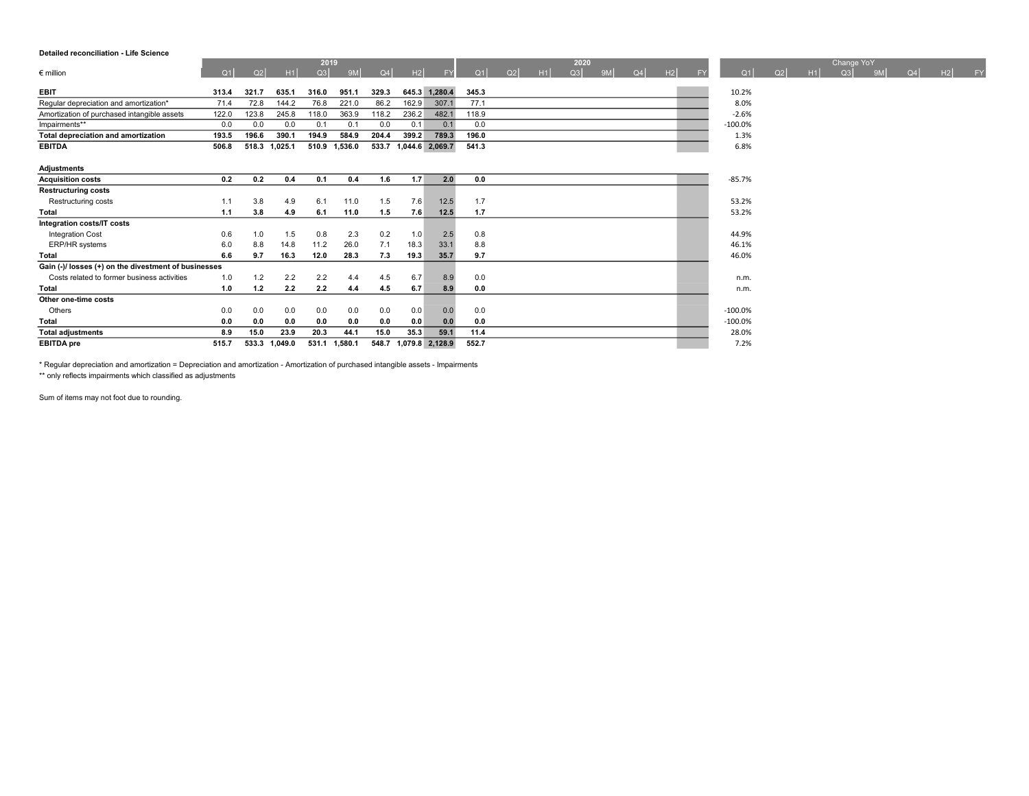### Detailed reconciliation - Life Science

|                                                      |       |       |         | 2019  |               |       |       |                       |       |    |    | 2020 |    |    |    |           |           |    |    | Change YoY |                |    |    |    |
|------------------------------------------------------|-------|-------|---------|-------|---------------|-------|-------|-----------------------|-------|----|----|------|----|----|----|-----------|-----------|----|----|------------|----------------|----|----|----|
| $\epsilon$ million                                   | Q1    | Q2    | H1      | Q3    | 9M            | Q4    | H2    | <b>FY</b>             | Q1    | Q2 | H1 | Q3   | 9M | Q4 | H2 | <b>FY</b> | Q1        | Q2 | H1 | Q3         | 9 <sub>M</sub> | Q4 | H2 | FY |
| <b>EBIT</b>                                          | 313.4 | 321.7 | 635.1   | 316.0 | 951.1         | 329.3 |       | 645.3 1,280.4         | 345.3 |    |    |      |    |    |    |           | 10.2%     |    |    |            |                |    |    |    |
| Regular depreciation and amortization*               | 71.4  | 72.8  | 144.2   | 76.8  | 221.0         | 86.2  | 162.9 | 307.1                 | 77.1  |    |    |      |    |    |    |           | 8.0%      |    |    |            |                |    |    |    |
| Amortization of purchased intangible assets          | 122.0 | 123.8 | 245.8   | 118.0 | 363.9         | 118.2 | 236.2 | 482.1                 | 118.9 |    |    |      |    |    |    |           | $-2.6%$   |    |    |            |                |    |    |    |
| Impairments**                                        | 0.0   | 0.0   | 0.0     | 0.1   | 0.1           | 0.0   | 0.1   | 0.1                   | 0.0   |    |    |      |    |    |    |           | $-100.0%$ |    |    |            |                |    |    |    |
| Total depreciation and amortization                  | 193.5 | 196.6 | 390.1   | 194.9 | 584.9         | 204.4 | 399.2 | 789.3                 | 196.0 |    |    |      |    |    |    |           | 1.3%      |    |    |            |                |    |    |    |
| <b>EBITDA</b>                                        | 506.8 | 518.3 | 1,025.1 |       | 510.9 1,536.0 |       |       | 533.7 1,044.6 2,069.7 | 541.3 |    |    |      |    |    |    |           | 6.8%      |    |    |            |                |    |    |    |
|                                                      |       |       |         |       |               |       |       |                       |       |    |    |      |    |    |    |           |           |    |    |            |                |    |    |    |
| Adjustments                                          |       |       |         |       |               |       |       |                       |       |    |    |      |    |    |    |           |           |    |    |            |                |    |    |    |
| <b>Acquisition costs</b>                             | 0.2   | 0.2   | 0.4     | 0.1   | 0.4           | 1.6   | 1.7   | 2.0                   | 0.0   |    |    |      |    |    |    |           | $-85.7%$  |    |    |            |                |    |    |    |
| <b>Restructuring costs</b>                           |       |       |         |       |               |       |       |                       |       |    |    |      |    |    |    |           |           |    |    |            |                |    |    |    |
| Restructuring costs                                  | 1.1   | 3.8   | 4.9     | 6.1   | 11.0          | 1.5   | 7.6   | 12.5                  | 1.7   |    |    |      |    |    |    |           | 53.2%     |    |    |            |                |    |    |    |
| Total                                                | 1.1   | 3.8   | 4.9     | 6.1   | 11.0          | 1.5   | 7.6   | 12.5                  | 1.7   |    |    |      |    |    |    |           | 53.2%     |    |    |            |                |    |    |    |
| Integration costs/IT costs                           |       |       |         |       |               |       |       |                       |       |    |    |      |    |    |    |           |           |    |    |            |                |    |    |    |
| <b>Integration Cost</b>                              | 0.6   | 1.0   | 1.5     | 0.8   | 2.3           | 0.2   | 1.0   | 2.5                   | 0.8   |    |    |      |    |    |    |           | 44.9%     |    |    |            |                |    |    |    |
| ERP/HR systems                                       | 6.0   | 8.8   | 14.8    | 11.2  | 26.0          | 7.1   | 18.3  | 33.1                  | 8.8   |    |    |      |    |    |    |           | 46.1%     |    |    |            |                |    |    |    |
| Total                                                | 6.6   | 9.7   | 16.3    | 12.0  | 28.3          | 7.3   | 19.3  | 35.7                  | 9.7   |    |    |      |    |    |    |           | 46.0%     |    |    |            |                |    |    |    |
| Gain (-)/ losses (+) on the divestment of businesses |       |       |         |       |               |       |       |                       |       |    |    |      |    |    |    |           |           |    |    |            |                |    |    |    |
| Costs related to former business activities          | 1.0   | 1.2   | 2.2     | 2.2   | 4.4           | 4.5   | 6.7   | 8.9                   | 0.0   |    |    |      |    |    |    |           | n.m.      |    |    |            |                |    |    |    |
| Total                                                | 1.0   | 1.2   | 2.2     | 2.2   | 4.4           | 4.5   | 6.7   | 8.9                   | 0.0   |    |    |      |    |    |    |           | n.m.      |    |    |            |                |    |    |    |
| Other one-time costs                                 |       |       |         |       |               |       |       |                       |       |    |    |      |    |    |    |           |           |    |    |            |                |    |    |    |
| Others                                               | 0.0   | 0.0   | 0.0     | 0.0   | 0.0           | 0.0   | 0.0   | 0.0                   | 0.0   |    |    |      |    |    |    |           | $-100.0%$ |    |    |            |                |    |    |    |

Total 0.0 0.0 0.0 0.0 0.0 0.0 0.0 0.0 0.0 -100.0% Total adjustments 8.9 15.0 23.9 20.3 44.1 15.0 35.3 59.1 11.4 28.0% EBITDA pre 515.7 533.3 1,049.0 531.1 1,580.1 548.7 1,079.8 2,128.9 552.7 7.2%

\* Regular depreciation and amortization = Depreciation and amortization - Amortization of purchased intangible assets - Impairments \*\* only reflects impairments which classified as adjustments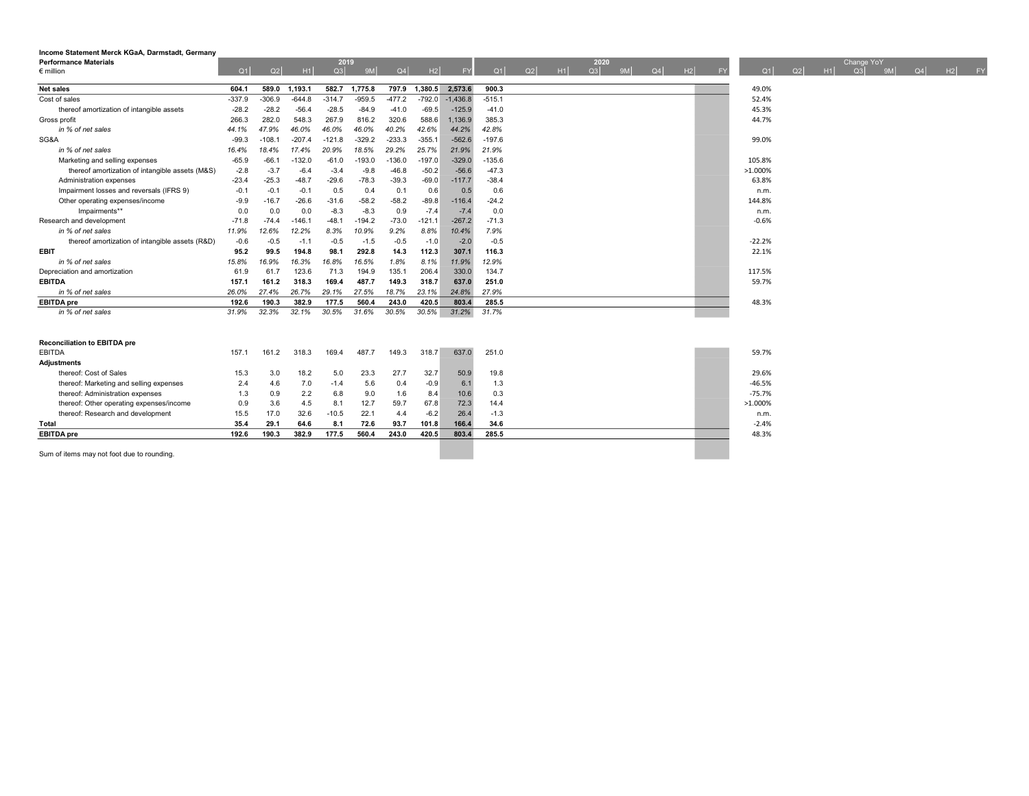| Income Statement Merck KGaA, Darmstadt, Germany |          |          |          |          |          |          |          |            |          |    |    |      |    |    |    |           |          |    |    |            |    |    |         |  |
|-------------------------------------------------|----------|----------|----------|----------|----------|----------|----------|------------|----------|----|----|------|----|----|----|-----------|----------|----|----|------------|----|----|---------|--|
| <b>Performance Materials</b>                    |          |          |          | 2019     |          |          |          |            |          |    |    | 2020 |    |    |    |           |          |    |    | Change YoY |    |    |         |  |
| $\epsilon$ million                              | Q1       | Q2       | H1       | Q3       | 9M       | Q4       | H2       | <b>FY</b>  | Q1       | Q2 | H1 | Q3   | 9M | Q4 | H2 | <b>FY</b> | Q1       | Q2 | H1 | Q3         | 9M | Q4 | $H2$ FY |  |
| <b>Net sales</b>                                | 604.1    | 589.0    | 1,193.1  | 582.7    | 1,775.8  | 797.9    | 1,380.5  | 2,573.6    | 900.3    |    |    |      |    |    |    |           | 49.0%    |    |    |            |    |    |         |  |
| Cost of sales                                   | $-337.9$ | $-306.9$ | $-644.8$ | $-314.7$ | $-959.5$ | $-477.2$ | $-792.0$ | $-1.436.8$ | $-515.1$ |    |    |      |    |    |    |           | 52.4%    |    |    |            |    |    |         |  |
| thereof amortization of intangible assets       | $-28.2$  | $-28.2$  | $-56.4$  | $-28.5$  | $-84.9$  | $-41.0$  | $-69.5$  | $-125.9$   | $-41.0$  |    |    |      |    |    |    |           | 45.3%    |    |    |            |    |    |         |  |
| Gross profit                                    | 266.3    | 282.0    | 548.3    | 267.9    | 816.2    | 320.6    | 588.6    | 1,136.9    | 385.3    |    |    |      |    |    |    |           | 44.7%    |    |    |            |    |    |         |  |
| in % of net sales                               | 44.1%    | 47.9%    | 46.0%    | 46.0%    | 46.0%    | 40.2%    | 42.6%    | 44.2%      | 42.8%    |    |    |      |    |    |    |           |          |    |    |            |    |    |         |  |
| SG&A                                            | $-99.3$  | $-108.7$ | $-207.4$ | $-121.8$ | $-329.2$ | $-233.3$ | $-355.1$ | $-562.6$   | $-197.6$ |    |    |      |    |    |    |           | 99.0%    |    |    |            |    |    |         |  |
| in % of net sales                               | 16.4%    | 18.4%    | 17.4%    | 20.9%    | 18.5%    | 29.2%    | 25.7%    | 21.9%      | 21.9%    |    |    |      |    |    |    |           |          |    |    |            |    |    |         |  |
| Marketing and selling expenses                  | $-65.9$  | $-66.$   | $-132.0$ | $-61.0$  | $-193.0$ | $-136.0$ | $-197.0$ | $-329.0$   | $-135.6$ |    |    |      |    |    |    |           | 105.8%   |    |    |            |    |    |         |  |
| thereof amortization of intangible assets (M&S) | $-2.8$   | $-3.7$   | $-6.4$   | $-3.4$   | $-9.8$   | $-46.8$  | $-50.2$  | $-56.6$    | $-47.3$  |    |    |      |    |    |    |           | >1.000%  |    |    |            |    |    |         |  |
| Administration expenses                         | $-23.4$  | $-25.3$  | $-48.7$  | $-29.6$  | $-78.3$  | $-39.3$  | $-69.0$  | $-117.7$   | $-38.4$  |    |    |      |    |    |    |           | 63.8%    |    |    |            |    |    |         |  |
| Impairment losses and reversals (IFRS 9)        | $-0.1$   | $-0.1$   | $-0.1$   | 0.5      | 0.4      | 0.1      | 0.6      | 0.5        | 0.6      |    |    |      |    |    |    |           | n.m.     |    |    |            |    |    |         |  |
| Other operating expenses/income                 | $-9.9$   | $-16.7$  | $-26.6$  | $-31.6$  | $-58.2$  | $-58.2$  | $-89.8$  | $-116.4$   | $-24.2$  |    |    |      |    |    |    |           | 144.8%   |    |    |            |    |    |         |  |
| Impairments**                                   | 0.0      | 0.0      | 0.0      | $-8.3$   | $-8.3$   | 0.9      | $-7.4$   | $-7.4$     | 0.0      |    |    |      |    |    |    |           | n.m.     |    |    |            |    |    |         |  |
| Research and development                        | $-71.8$  | $-74.4$  | $-146.1$ | $-48.1$  | $-194.2$ | $-73.0$  | $-121.1$ | $-267.2$   | $-71.3$  |    |    |      |    |    |    |           | $-0.6%$  |    |    |            |    |    |         |  |
| in % of net sales                               | 11.9%    | 12.6%    | 12.2%    | 8.3%     | 10.9%    | 9.2%     | 8.8%     | 10.4%      | 7.9%     |    |    |      |    |    |    |           |          |    |    |            |    |    |         |  |
| thereof amortization of intangible assets (R&D) | $-0.6$   | $-0.5$   | $-1.1$   | $-0.5$   | $-1.5$   | $-0.5$   | $-1.0$   | $-2.0$     | $-0.5$   |    |    |      |    |    |    |           | $-22.2%$ |    |    |            |    |    |         |  |
| <b>EBIT</b>                                     | 95.2     | 99.5     | 194.8    | 98.1     | 292.8    | 14.3     | 112.3    | 307.1      | 116.3    |    |    |      |    |    |    |           | 22.1%    |    |    |            |    |    |         |  |
| in % of net sales                               | 15.8%    | 16.9%    | 16.3%    | 16.8%    | 16.5%    | 1.8%     | 8.1%     | 11.9%      | 12.9%    |    |    |      |    |    |    |           |          |    |    |            |    |    |         |  |
| Depreciation and amortization                   | 61.9     | 61.7     | 123.6    | 71.3     | 194.9    | 135.1    | 206.4    | 330.0      | 134.7    |    |    |      |    |    |    |           | 117.5%   |    |    |            |    |    |         |  |
| <b>EBITDA</b>                                   | 157.1    | 161.2    | 318.3    | 169.4    | 487.7    | 149.3    | 318.7    | 637.0      | 251.0    |    |    |      |    |    |    |           | 59.7%    |    |    |            |    |    |         |  |
| in % of net sales                               | 26.0%    | 27.4%    | 26.7%    | 29.1%    | 27.5%    | 18.7%    | 23.1%    | 24.8%      | 27.9%    |    |    |      |    |    |    |           |          |    |    |            |    |    |         |  |
| <b>EBITDA</b> pre                               | 192.6    | 190.3    | 382.9    | 177.5    | 560.4    | 243.0    | 420.5    | 803.4      | 285.5    |    |    |      |    |    |    |           | 48.3%    |    |    |            |    |    |         |  |
| in % of net sales                               | 31.9%    | 32.3%    | 32.1%    | 30.5%    | 31.6%    | 30.5%    | 30.5%    | 31.2%      | 31.7%    |    |    |      |    |    |    |           |          |    |    |            |    |    |         |  |
| <b>Reconciliation to EBITDA pre</b>             |          |          |          |          |          |          |          |            |          |    |    |      |    |    |    |           |          |    |    |            |    |    |         |  |
|                                                 |          |          |          |          |          |          |          | 637.0      | 251.0    |    |    |      |    |    |    |           | 59.7%    |    |    |            |    |    |         |  |
| <b>EBITDA</b>                                   | 157.1    | 161.2    | 318.3    | 169.4    | 487.7    | 149.3    | 318.7    |            |          |    |    |      |    |    |    |           |          |    |    |            |    |    |         |  |
| <b>Adjustments</b><br>thereof: Cost of Sales    |          |          |          |          |          |          |          |            |          |    |    |      |    |    |    |           |          |    |    |            |    |    |         |  |
|                                                 | 15.3     | 3.0      | 18.2     | 5.0      | 23.3     | 27.7     | 32.7     | 50.9       | 19.8     |    |    |      |    |    |    |           | 29.6%    |    |    |            |    |    |         |  |
| thereof: Marketing and selling expenses         | 2.4      | 4.6      | 7.0      | $-1.4$   | 5.6      | 0.4      | $-0.9$   | 6.1        | 1.3      |    |    |      |    |    |    |           | $-46.5%$ |    |    |            |    |    |         |  |
| thereof: Administration expenses                | 1.3      | 0.9      | 2.2      | 6.8      | 9.0      | 1.6      | 8.4      | 10.6       | 0.3      |    |    |      |    |    |    |           | $-75.7%$ |    |    |            |    |    |         |  |
| thereof: Other operating expenses/income        | 0.9      | 3.6      | 4.5      | 8.1      | 12.7     | 59.7     | 67.8     | 72.3       | 14.4     |    |    |      |    |    |    |           | >1.000%  |    |    |            |    |    |         |  |
| thereof: Research and development               | 15.5     | 17.0     | 32.6     | $-10.5$  | 22.1     | 4.4      | $-6.2$   | 26.4       | $-1.3$   |    |    |      |    |    |    |           | n.m.     |    |    |            |    |    |         |  |
| Total                                           | 35.4     | 29.1     | 64.6     | 8.1      | 72.6     | 93.7     | 101.8    | 166.4      | 34.6     |    |    |      |    |    |    |           | $-2.4%$  |    |    |            |    |    |         |  |
| <b>EBITDA</b> pre                               | 192.6    | 190.3    | 382.9    | 177.5    | 560.4    | 243.0    | 420.5    | 803.4      | 285.5    |    |    |      |    |    |    |           | 48.3%    |    |    |            |    |    |         |  |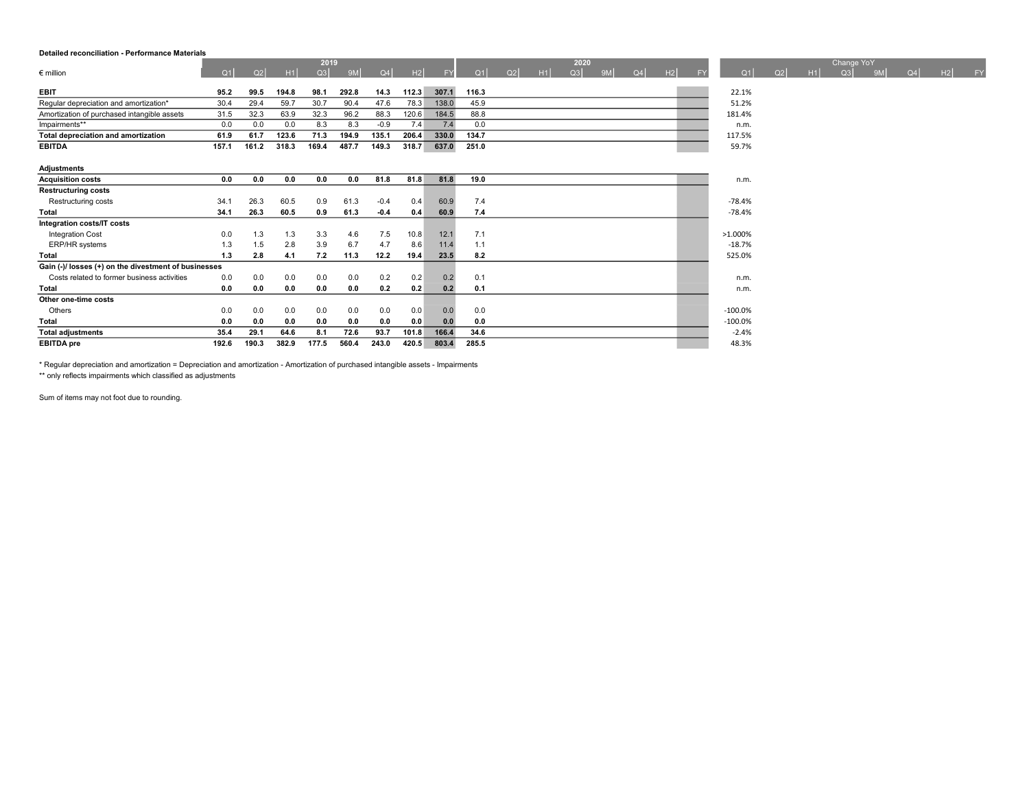#### Detailed reconciliation - Performance Materials

|                                             |       |       |       | 2019  |       |        |       |           |       |    |    | 2020 |    |    |    |           |          |    |    | Change YoY |    |    |    |    |
|---------------------------------------------|-------|-------|-------|-------|-------|--------|-------|-----------|-------|----|----|------|----|----|----|-----------|----------|----|----|------------|----|----|----|----|
| $\epsilon$ million                          | Q1    | Q2    | H1    | Q3    | 9M    | Q4     | H2    | <b>FY</b> | Q1    | Q2 | H1 | Q3   | 9M | Q4 | H2 | <b>FY</b> | Q1       | Q2 | H1 | Q3         | 9M | Q4 | H2 | FY |
| <b>EBIT</b>                                 | 95.2  | 99.5  | 194.8 | 98.1  | 292.8 | 14.3   | 112.3 | 307.1     | 116.3 |    |    |      |    |    |    |           | 22.1%    |    |    |            |    |    |    |    |
| Regular depreciation and amortization*      | 30.4  | 29.4  | 59.7  | 30.7  | 90.4  | 47.6   | 78.3  | 138.0     | 45.9  |    |    |      |    |    |    |           | 51.2%    |    |    |            |    |    |    |    |
| Amortization of purchased intangible assets | 31.5  | 32.3  | 63.9  | 32.3  | 96.2  | 88.3   | 120.6 | 184.5     | 88.8  |    |    |      |    |    |    |           | 181.4%   |    |    |            |    |    |    |    |
| Impairments**                               | 0.0   | 0.0   | 0.0   | 8.3   | 8.3   | $-0.9$ | 7.4   | 7.4       | 0.0   |    |    |      |    |    |    |           | n.m.     |    |    |            |    |    |    |    |
| Total depreciation and amortization         | 61.9  | 61.7  | 123.6 | 71.3  | 194.9 | 135.1  | 206.4 | 330.0     | 134.7 |    |    |      |    |    |    |           | 117.5%   |    |    |            |    |    |    |    |
| <b>EBITDA</b>                               | 157.1 | 161.2 | 318.3 | 169.4 | 487.7 | 149.3  | 318.7 | 637.0     | 251.0 |    |    |      |    |    |    |           | 59.7%    |    |    |            |    |    |    |    |
|                                             |       |       |       |       |       |        |       |           |       |    |    |      |    |    |    |           |          |    |    |            |    |    |    |    |
| <b>Adjustments</b>                          |       |       |       |       |       |        |       |           |       |    |    |      |    |    |    |           |          |    |    |            |    |    |    |    |
| <b>Acquisition costs</b>                    | 0.0   | 0.0   | 0.0   | 0.0   | 0.0   | 81.8   | 81.8  | 81.8      | 19.0  |    |    |      |    |    |    |           | n.m.     |    |    |            |    |    |    |    |
| <b>Restructuring costs</b>                  |       |       |       |       |       |        |       |           |       |    |    |      |    |    |    |           |          |    |    |            |    |    |    |    |
| Restructuring costs                         | 34.1  | 26.3  | 60.5  | 0.9   | 61.3  | $-0.4$ | 0.4   | 60.9      | 7.4   |    |    |      |    |    |    |           | -78.4%   |    |    |            |    |    |    |    |
| Total                                       | 34.1  | 26.3  | 60.5  | 0.9   | 61.3  | $-0.4$ | 0.4   | 60.9      | 7.4   |    |    |      |    |    |    |           | $-78.4%$ |    |    |            |    |    |    |    |

Integration Cost 2008 1.3 1.3 1.3 3.3 4.6 7.5 10.8 12.1 7.1 ERP/HR systems **1.3 1.5 2.8 3.9 6.7 4.7 8.6 11.4 1.1** 1.1 -18.7% **1.8.7%**  $T$ otal 1.3 2.8 4.1 7.2 11.3 12.2 19.4 23.5 8.2 525.0% 525.0%

Costs related to former business activities 0.0 0.0 0.0 0.0 0.0 0.2 0.2 0.1 0.2 0.1 n.m. Total 0.0 0.0 0.0 0.0 0.0 0.2 0.2 0.2 0.1 n.m.

Others 0.0 0.0 0.0 0.0 0.0 0.0 0.0 0.0 0.0 -100.0% Total 0.0 0.0 0.0 0.0 0.0 0.0 0.0 0.0 0.0 -100.0% Total adjustments 35.4 29.1 64.6 8.1 72.6 93.7 101.8 166.4 34.6 -2.4% EBITDA pre 192.6 190.3 382.9 177.5 560.4 243.0 420.5 803.4 285.5 48.3% 48.3%

| * Regular depreciation and amortization = Depreciation and amortization - Amortization of purchased intangible assets - Impairments |  |
|-------------------------------------------------------------------------------------------------------------------------------------|--|
| ** only reflects impairments which classified as adjustments                                                                        |  |

Sum of items may not foot due to rounding.

Gain (-)/ losses (+) on the divestment of businesses

Integration costs/IT costs

Other one-time costs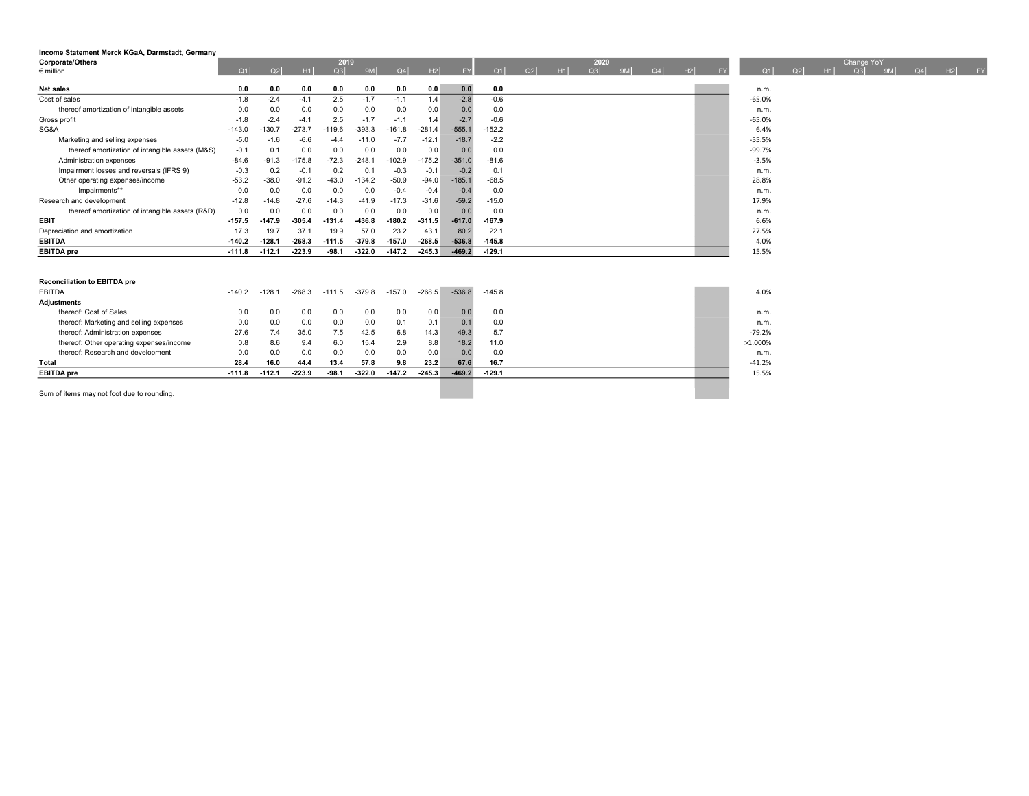| Income Statement Merck KGaA, Darmstadt, Germany<br><b>Corporate/Others</b><br>$\epsilon$ million | Q1       | Q2       | H1       | 2019<br>Q3 | 9M       | Q4       | H2       | <b>FY</b> | Q1       | Q2 | H1 | 2020<br>Q3 | QM | $Q_4$ | H2 | <b>FY</b> | Q1<br>Q <sub>2</sub> | H1 | Change YoY<br>$\Omega$ 3 | 9M | Q4 | H2 | <b>FY</b> |
|--------------------------------------------------------------------------------------------------|----------|----------|----------|------------|----------|----------|----------|-----------|----------|----|----|------------|----|-------|----|-----------|----------------------|----|--------------------------|----|----|----|-----------|
| <b>Net sales</b>                                                                                 | 0.0      | 0.0      | 0.0      | 0.0        | 0.0      | 0.0      | 0.0      | 0.0       | 0.0      |    |    |            |    |       |    |           | n.m.                 |    |                          |    |    |    |           |
| Cost of sales                                                                                    | $-1.8$   | $-2.4$   | $-4.1$   | 2.5        | $-1.7$   | $-1.1$   | 1.4      | $-2.8$    | $-0.6$   |    |    |            |    |       |    |           | $-65.0%$             |    |                          |    |    |    |           |
| thereof amortization of intangible assets                                                        | 0.0      | 0.0      | 0.0      | 0.0        | 0.0      | 0.0      | 0.0      | 0.0       | 0.0      |    |    |            |    |       |    |           | n.m.                 |    |                          |    |    |    |           |
| Gross profit                                                                                     | $-1.8$   | $-2.4$   | $-4.1$   | 2.5        | $-1.7$   | $-1.1$   | 1.4      | $-2.7$    | $-0.6$   |    |    |            |    |       |    |           | $-65.0%$             |    |                          |    |    |    |           |
| SG&A                                                                                             | $-143.0$ | $-130.7$ | $-273.7$ | $-119.6$   | $-393.3$ | $-161.8$ | $-281.4$ | $-555.1$  | $-152.2$ |    |    |            |    |       |    |           | 6.4%                 |    |                          |    |    |    |           |
| Marketing and selling expenses                                                                   | $-5.0$   | $-1.6$   | $-6.6$   | $-4.4$     | $-11.0$  | $-7.7$   | $-12.1$  | $-18.7$   | $-2.2$   |    |    |            |    |       |    |           | $-55.5%$             |    |                          |    |    |    |           |
| thereof amortization of intangible assets (M&S)                                                  | $-0.1$   | 0.1      | 0.0      | 0.0        | 0.0      | 0.0      | 0.0      | 0.0       | 0.0      |    |    |            |    |       |    |           | $-99.7%$             |    |                          |    |    |    |           |
| Administration expenses                                                                          | $-84.6$  | $-91.3$  | $-175.8$ | $-72.3$    | $-248.1$ | $-102.9$ | $-175.2$ | $-351.0$  | $-81.6$  |    |    |            |    |       |    |           | $-3.5%$              |    |                          |    |    |    |           |
| Impairment losses and reversals (IFRS 9)                                                         | $-0.3$   | 0.2      | $-0.1$   | 0.2        | 0.1      | $-0.3$   | $-0.1$   | $-0.2$    | 0.1      |    |    |            |    |       |    |           | n.m.                 |    |                          |    |    |    |           |
| Other operating expenses/income                                                                  | $-53.2$  | $-38.0$  | $-91.2$  | $-43.0$    | $-134.2$ | $-50.9$  | $-94.0$  | $-185.1$  | $-68.5$  |    |    |            |    |       |    |           | 28.8%                |    |                          |    |    |    |           |
| Impairments**                                                                                    | 0.0      | 0.0      | 0.0      | 0.0        | 0.0      | $-0.4$   | $-0.4$   | $-0.4$    | 0.0      |    |    |            |    |       |    |           | n.m.                 |    |                          |    |    |    |           |
| Research and development                                                                         | $-12.8$  | $-14.8$  | $-27.6$  | $-14.3$    | $-41.9$  | $-17.3$  | $-31.6$  | $-59.2$   | $-15.0$  |    |    |            |    |       |    |           | 17.9%                |    |                          |    |    |    |           |
| thereof amortization of intangible assets (R&D)                                                  | 0.0      | 0.0      | 0.0      | 0.0        | 0.0      | 0.0      | 0.0      | 0.0       | 0.0      |    |    |            |    |       |    |           | n.m.                 |    |                          |    |    |    |           |
| <b>EBIT</b>                                                                                      | $-157.5$ | $-147.9$ | $-305.4$ | $-131.4$   | $-436.8$ | $-180.2$ | $-311.5$ | $-617.0$  | $-167.9$ |    |    |            |    |       |    |           | 6.6%                 |    |                          |    |    |    |           |
| Depreciation and amortization                                                                    | 17.3     | 19.7     | 37.1     | 19.9       | 57.0     | 23.2     | 43.1     | 80.2      | 22.1     |    |    |            |    |       |    |           | 27.5%                |    |                          |    |    |    |           |
| <b>EBITDA</b>                                                                                    | $-140.2$ | $-128.1$ | $-268.3$ | $-111.5$   | $-379.8$ | $-157.0$ | $-268.5$ | $-536.8$  | $-145.8$ |    |    |            |    |       |    |           | 4.0%                 |    |                          |    |    |    |           |
| <b>EBITDA</b> pre                                                                                | $-111.8$ | $-112.1$ | $-223.9$ | $-98.1$    | $-322.0$ | $-147.2$ | $-245.3$ | $-469.2$  | $-129.1$ |    |    |            |    |       |    |           | 15.5%                |    |                          |    |    |    |           |
|                                                                                                  |          |          |          |            |          |          |          |           |          |    |    |            |    |       |    |           |                      |    |                          |    |    |    |           |
| <b>Reconciliation to EBITDA pre</b><br>EBITDA                                                    | $-140.2$ | $-128.1$ | $-268.3$ | $-111.5$   | $-379.8$ | $-157.0$ | $-268.5$ | $-536.8$  | $-145.8$ |    |    |            |    |       |    |           | 4.0%                 |    |                          |    |    |    |           |
| <b>Adjustments</b>                                                                               |          |          |          |            |          |          |          |           |          |    |    |            |    |       |    |           |                      |    |                          |    |    |    |           |
| thereof: Cost of Sales                                                                           | 0.0      | 0.0      | 0.0      | 0.0        | 0.0      | 0.0      | 0.0      | 0.0       | 0.0      |    |    |            |    |       |    |           | n.m.                 |    |                          |    |    |    |           |
| thereof: Marketing and selling expenses                                                          | 0.0      | 0.0      | 0.0      | 0.0        | 0.0      | 0.1      | 0.1      | 0.1       | 0.0      |    |    |            |    |       |    |           | n.m.                 |    |                          |    |    |    |           |
| thereof: Administration expenses                                                                 | 27.6     | 7.4      | 35.0     | 7.5        | 42.5     | 6.8      | 14.3     | 49.3      | 5.7      |    |    |            |    |       |    |           | $-79.2%$             |    |                          |    |    |    |           |
| thereof: Other operating expenses/income                                                         | 0.8      | 8.6      | 9.4      | 6.0        | 15.4     | 2.9      | 8.8      | 18.2      | 11.0     |    |    |            |    |       |    |           | >1.000%              |    |                          |    |    |    |           |
| thereof: Research and development                                                                | 0.0      | 0.0      | 0.0      | 0.0        | 0.0      | 0.0      | 0.0      | 0.0       | 0.0      |    |    |            |    |       |    |           | n.m.                 |    |                          |    |    |    |           |
| Total                                                                                            | 28.4     | 16.0     | 44.4     | 13.4       | 57.8     | 9.8      | 23.2     | 67.6      | 16.7     |    |    |            |    |       |    |           | $-41.2%$             |    |                          |    |    |    |           |
| <b>EBITDA</b> pre                                                                                | $-111.8$ | $-112.1$ | $-223.9$ | $-98.1$    | $-322.0$ | $-147.2$ | $-245.3$ | $-469.2$  | $-129.1$ |    |    |            |    |       |    |           | 15.5%                |    |                          |    |    |    |           |
|                                                                                                  |          |          |          |            |          |          |          |           |          |    |    |            |    |       |    |           |                      |    |                          |    |    |    |           |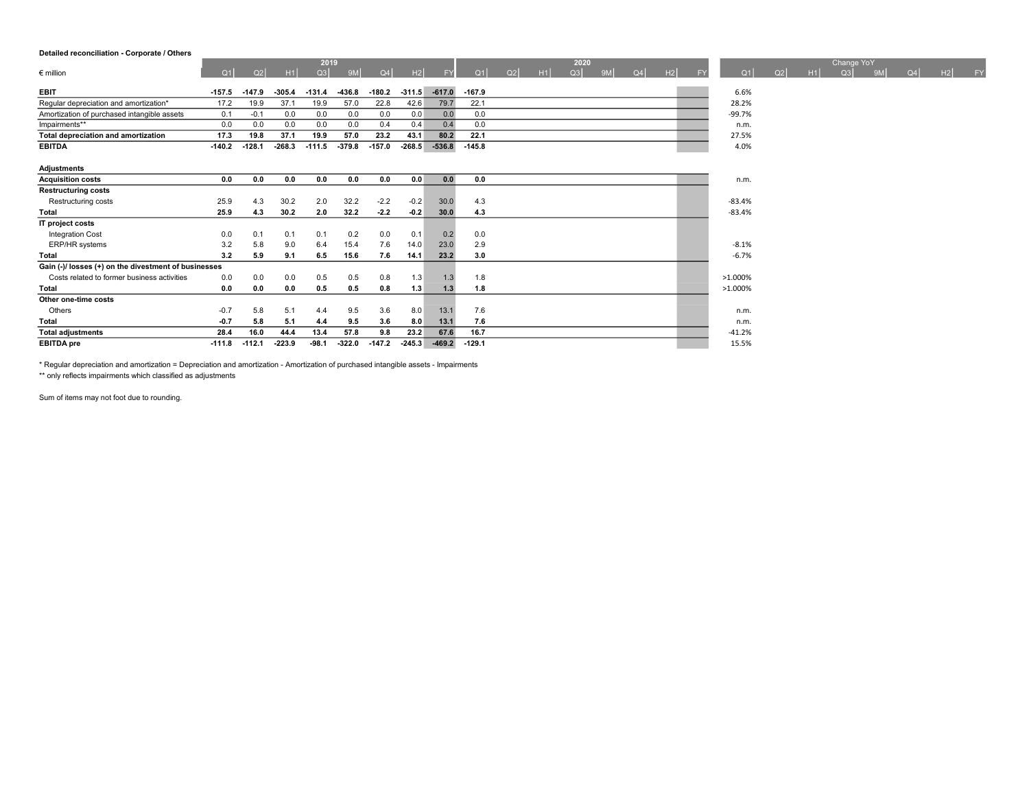### Detailed reconciliation - Corporate / Others

|                                                      |          |          |          | 2019     |           |          |          |           |          |    |    | 2020 |    |    |    |    |          |    |    | Change YoY |                |    |    |    |
|------------------------------------------------------|----------|----------|----------|----------|-----------|----------|----------|-----------|----------|----|----|------|----|----|----|----|----------|----|----|------------|----------------|----|----|----|
| $\epsilon$ million                                   | Q1       | Q2       | H1       | Q3       | <b>9M</b> | Q4       | H2       | <b>FY</b> | Q1       | Q2 | H1 | Q3   | 9M | Q4 | H2 | FY | Q1       | Q2 | H1 | Q3         | 9 <sub>M</sub> | Q4 | H2 | FY |
| <b>EBIT</b>                                          | $-157.5$ | $-147.9$ | $-305.4$ | $-131.4$ | -436.8    | $-180.2$ | $-311.5$ | $-617.0$  | $-167.9$ |    |    |      |    |    |    |    | 6.6%     |    |    |            |                |    |    |    |
|                                                      |          |          |          |          |           |          |          |           |          |    |    |      |    |    |    |    |          |    |    |            |                |    |    |    |
| Regular depreciation and amortization*               | 17.2     | 19.9     | 37.1     | 19.9     | 57.0      | 22.8     | 42.6     | 79.7      | 22.1     |    |    |      |    |    |    |    | 28.2%    |    |    |            |                |    |    |    |
| Amortization of purchased intangible assets          | 0.1      | $-0.1$   | 0.0      | 0.0      | 0.0       | 0.0      | 0.0      | 0.0       | 0.0      |    |    |      |    |    |    |    | $-99.7%$ |    |    |            |                |    |    |    |
| Impairments**                                        | 0.0      | 0.0      | 0.0      | 0.0      | 0.0       | 0.4      | 0.4      | 0.4       | 0.0      |    |    |      |    |    |    |    | n.m.     |    |    |            |                |    |    |    |
| Total depreciation and amortization                  | 17.3     | 19.8     | 37.1     | 19.9     | 57.0      | 23.2     | 43.1     | 80.2      | 22.1     |    |    |      |    |    |    |    | 27.5%    |    |    |            |                |    |    |    |
| <b>EBITDA</b>                                        | $-140.2$ | $-128.1$ | $-268.3$ | $-111.5$ | $-379.8$  | $-157.0$ | $-268.5$ | $-536.8$  | $-145.8$ |    |    |      |    |    |    |    | 4.0%     |    |    |            |                |    |    |    |
| Adjustments                                          |          |          |          |          |           |          |          |           |          |    |    |      |    |    |    |    |          |    |    |            |                |    |    |    |
| <b>Acquisition costs</b>                             | 0.0      | 0.0      | 0.0      | 0.0      | 0.0       | 0.0      | 0.0      | 0.0       | 0.0      |    |    |      |    |    |    |    | n.m.     |    |    |            |                |    |    |    |
| <b>Restructuring costs</b>                           |          |          |          |          |           |          |          |           |          |    |    |      |    |    |    |    |          |    |    |            |                |    |    |    |
| Restructuring costs                                  | 25.9     | 4.3      | 30.2     | 2.0      | 32.2      | $-2.2$   | $-0.2$   | 30.0      | 4.3      |    |    |      |    |    |    |    | $-83.4%$ |    |    |            |                |    |    |    |
| <b>Total</b>                                         | 25.9     | 4.3      | 30.2     | 2.0      | 32.2      | $-2.2$   | $-0.2$   | 30.0      | 4.3      |    |    |      |    |    |    |    | $-83.4%$ |    |    |            |                |    |    |    |
| IT project costs                                     |          |          |          |          |           |          |          |           |          |    |    |      |    |    |    |    |          |    |    |            |                |    |    |    |
| Integration Cost                                     | 0.0      | 0.1      | 0.1      | 0.1      | 0.2       | 0.0      | 0.1      | 0.2       | 0.0      |    |    |      |    |    |    |    |          |    |    |            |                |    |    |    |
| ERP/HR systems                                       | 3.2      | 5.8      | 9.0      | 6.4      | 15.4      | 7.6      | 14.0     | 23.0      | 2.9      |    |    |      |    |    |    |    | $-8.1%$  |    |    |            |                |    |    |    |
| Total                                                | 3.2      | 5.9      | 9.1      | 6.5      | 15.6      | 7.6      | 14.1     | 23.2      | 3.0      |    |    |      |    |    |    |    | $-6.7%$  |    |    |            |                |    |    |    |
| Gain (-)/ losses (+) on the divestment of businesses |          |          |          |          |           |          |          |           |          |    |    |      |    |    |    |    |          |    |    |            |                |    |    |    |
| Costs related to former business activities          | 0.0      | 0.0      | 0.0      | 0.5      | 0.5       | 0.8      | 1.3      | 1.3       | 1.8      |    |    |      |    |    |    |    | >1.000%  |    |    |            |                |    |    |    |
| Total                                                | 0.0      | 0.0      | 0.0      | 0.5      | 0.5       | 0.8      | 1.3      | 1.3       | 1.8      |    |    |      |    |    |    |    | >1.000%  |    |    |            |                |    |    |    |
| Other one-time costs                                 |          |          |          |          |           |          |          |           |          |    |    |      |    |    |    |    |          |    |    |            |                |    |    |    |

Others 6.1 5.8 5.1 4.4 9.5 3.6 8.0 13.1 7.6 1.0 1.0 1.0 n.m. Total -0.7 5.8 5.1 4.4 9.5 3.6 8.0 13.1 7.6 n.m.  $\text{Total adjustments}$  28.4 16.0 44.4 13.4 57.8 9.8 23.2 67.6 16.7 -41.2% -41.2% EBITDA pre 411.8 -112.1 -223.9 -98.1 -322.0 -147.2 -245.3 -469.2 -129.1 15.5% 15.5%

\* Regular depreciation and amortization = Depreciation and amortization - Amortization of purchased intangible assets - Impairments

\*\* only reflects impairments which classified as adjustments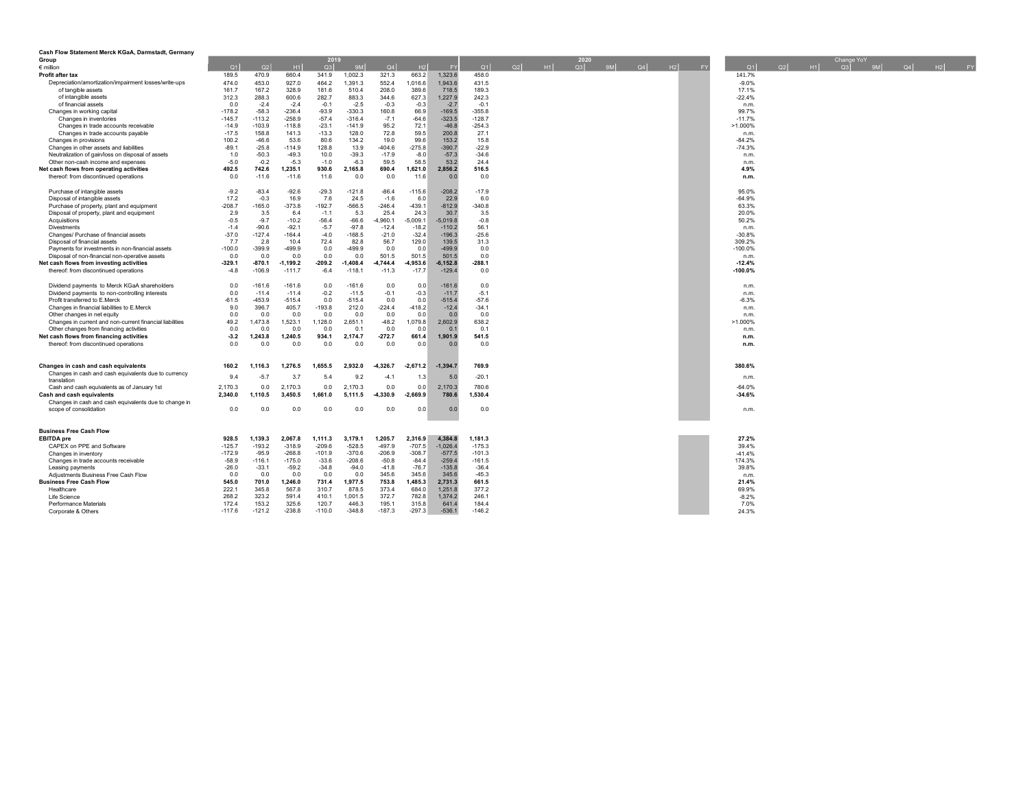| Cash Flow Statement Merck KGaA, Darmstadt, Germany                  |          |          |            |          |            |            |            |            |          |          |      |    |         |    |               |    |           |            |    |            |  |
|---------------------------------------------------------------------|----------|----------|------------|----------|------------|------------|------------|------------|----------|----------|------|----|---------|----|---------------|----|-----------|------------|----|------------|--|
| Group                                                               |          |          |            | 2019     |            |            |            |            |          |          | 2020 |    |         |    |               |    |           | Change YoY |    |            |  |
| $\epsilon$ million                                                  | Q1       | Q2       | H1         | Q3       | 9M         | Q4         | H2         | <b>FY</b>  | Q1       | Q2<br>H1 | Q3   | 9M | $Q4$ H2 | FY | Q1            | Q2 | <b>H1</b> | Q3         | 9M | $Q4$ H2 FY |  |
| Profit after tax                                                    | 189.5    | 470.9    | 660.4      | 341.9    | 1.002.3    | 321.3      | 663.2      | 1.323.6    | 458.0    |          |      |    |         |    | 141.7%        |    |           |            |    |            |  |
| Depreciation/amortization/impairment losses/write-ups               | 474.0    | 453.0    | 927.0      | 464.2    | 1.391.3    | 552.4      | 1.016.6    | 1.943.6    | 431.5    |          |      |    |         |    | $-9.0%$       |    |           |            |    |            |  |
| of tangible assets                                                  | 161.7    | 167.2    | 328.9      | 181.6    | 510.4      | 208.0      | 389.6      | 718.5      | 189.3    |          |      |    |         |    | 17.1%         |    |           |            |    |            |  |
| of intangible assets                                                | 312.3    | 288.3    | 600.6      | 282.7    | 883.3      | 344.6      | 627.3      | 1,227.9    | 242.3    |          |      |    |         |    | $-22.4%$      |    |           |            |    |            |  |
| of financial assets                                                 | 0.0      | $-2.4$   | $-2.4$     | $-0.1$   | $-2.5$     | $-0.3$     | $-0.3$     | $-2.7$     | $-0.1$   |          |      |    |         |    | n.m.          |    |           |            |    |            |  |
| Changes in working capital                                          | $-178.2$ | $-58.3$  | $-236.4$   | $-93.9$  | $-330.3$   | 160.8      | 66.9       | $-169.5$   | $-355.8$ |          |      |    |         |    | 99.7%         |    |           |            |    |            |  |
| Changes in inventories                                              | $-145.7$ | $-113.2$ | $-258.9$   | $-57.4$  | $-316.4$   | $-7.1$     | $-64.6$    | $-323.5$   | $-128.7$ |          |      |    |         |    | $-11.7%$      |    |           |            |    |            |  |
| Changes in trade accounts receivable                                | $-14.9$  | $-103.9$ | $-118.8$   | $-23.1$  | -141.9     | 95.2       | 72.1       | $-46.8$    | $-254.3$ |          |      |    |         |    | $>1.000\%$    |    |           |            |    |            |  |
| Changes in trade accounts payable                                   | $-17.5$  | 158.8    | 141.3      | $-13.3$  | 128.0      | 72.8       | 59.5       | 200.8      | 27.1     |          |      |    |         |    | n.m.          |    |           |            |    |            |  |
| Changes in provisions                                               | 100.2    | $-46.6$  | 53.6       | 80.6     | 134.2      | 19.0       | 99.6       | 153.2      | 15.8     |          |      |    |         |    | $-84.2%$      |    |           |            |    |            |  |
| Changes in other assets and liabilities                             | $-89.1$  | $-25.8$  | $-114.9$   | 128.8    | 13.9       | $-404.6$   | $-275.8$   | $-390.7$   | $-22.9$  |          |      |    |         |    | $-74.3%$      |    |           |            |    |            |  |
| Neutralization of gain/loss on disposal of assets                   | 1.0      | $-50.3$  | $-49.3$    | 10.0     | $-39.3$    | $-17.9$    | $-8.0$     | $-57.3$    | $-34.6$  |          |      |    |         |    | n.m.          |    |           |            |    |            |  |
| Other non-cash income and expenses                                  | $-5.0$   | $-0.2$   | $-5.3$     | $-1.0$   | $-6.3$     | 59.5       | 58.5       | 53.2       | 24.4     |          |      |    |         |    | n.m.          |    |           |            |    |            |  |
| <b>Net cash flows from operating activities</b>                     | 492.5    | 742.6    | 1,235.1    | 930.6    | 2,165.8    | 690.4      | 1,621.0    | 2,856.2    | 516.5    |          |      |    |         |    | 4.9%          |    |           |            |    |            |  |
| thereof: from discontinued operations                               | 0.0      | $-11.6$  | $-11.6$    | 11.6     | 0.0        | 0.0        | 11.6       | 0.0        | 0.0      |          |      |    |         |    | n.m.          |    |           |            |    |            |  |
| Purchase of intangible assets                                       | $-9.2$   | $-83.4$  | $-92.6$    | $-29.3$  | $-121.8$   | $-86.4$    | $-115.6$   | $-208.2$   | $-17.9$  |          |      |    |         |    | 95.0%         |    |           |            |    |            |  |
| Disposal of intangible assets                                       | 17.2     | $-0.3$   | 16.9       | 7.6      | 24.5       | $-1.6$     | 6.0        | 22.9       | 6.0      |          |      |    |         |    | $-64.9%$      |    |           |            |    |            |  |
| Purchase of property, plant and equipment                           | $-208.7$ | $-165.0$ | $-373.8$   | $-192.7$ | $-566.5$   | $-246.4$   | $-439.1$   | $-812.9$   | $-340.8$ |          |      |    |         |    | 63.3%         |    |           |            |    |            |  |
| Disposal of property, plant and equipment                           | 2.9      | 3.5      | 6.4        | $-1.1$   | 5.3        | 25.4       | 24.3       | 30.7       | 3.5      |          |      |    |         |    | 20.0%         |    |           |            |    |            |  |
| Acquisitions                                                        | $-0.5$   | $-9.7$   | $-10.2$    | $-56.4$  | $-66.6$    | -4,960.1   | $-5,009.1$ | $-5,019.8$ | $-0.8$   |          |      |    |         |    | 50.2%         |    |           |            |    |            |  |
| Divestments                                                         | $-1.4$   | $-90.6$  | $-92.1$    | $-5.7$   | $-97.8$    | $-12.4$    | $-18.2$    | $-110.2$   | 56.1     |          |      |    |         |    | n.m.          |    |           |            |    |            |  |
| Changes/ Purchase of financial assets                               | $-37.0$  | $-127.4$ | $-164.4$   | $-4.0$   | $-168.5$   | $-21.0$    | $-32.4$    | $-196.3$   | $-25.6$  |          |      |    |         |    | $-30.8%$      |    |           |            |    |            |  |
| Disposal of financial assets                                        | 7.7      | 2.8      | 10.4       | 72.4     | 82.8       | 56.7       | 129.0      | 139.5      | 31.3     |          |      |    |         |    | 309.2%        |    |           |            |    |            |  |
| Payments for investments in non-financial assets                    | $-100.0$ | $-399.9$ | 499.9      | 0.0      | $-499.9$   | 0.0        | 0.0        | $-499.9$   | 0.0      |          |      |    |         |    | $-100.0%$     |    |           |            |    |            |  |
| Disposal of non-financial non-operative assets                      | 0.0      | 0.0      | 0.0        | 0.0      | 0.0        | 501.5      | 501.5      | 501.5      | 0.0      |          |      |    |         |    | n.m.          |    |           |            |    |            |  |
| <b>Net cash flows from investing activities</b>                     | $-329.1$ | $-870.1$ | $-1,199.2$ | $-209.2$ | $-1,408.4$ | $-4,744.4$ | $-4,953.6$ | $-6,152.8$ | $-288.1$ |          |      |    |         |    | $-12.4%$      |    |           |            |    |            |  |
| thereof: from discontinued operations                               | $-4.8$   | $-106.9$ | $-111.7$   | $-6.4$   | $-118.1$   | $-11.3$    | $-17.7$    | $-129.4$   | 0.0      |          |      |    |         |    | $-100.0%$     |    |           |            |    |            |  |
| Dividend payments to Merck KGaA shareholders                        | 0.0      | $-161.6$ | $-161.6$   | 0.0      | $-161.6$   | 0.0        | 0.0        | $-161.6$   | 0.0      |          |      |    |         |    | n.m.          |    |           |            |    |            |  |
| Dividend payments to non-controlling interests                      | 0.0      | $-11.4$  | $-11.4$    | $-0.2$   | $-11.5$    | $-0.1$     | $-0.3$     | $-11.7$    | $-5.1$   |          |      |    |         |    | n.m.          |    |           |            |    |            |  |
| Profit transferred to E.Merck                                       | $-61.5$  | $-453.9$ | $-515.4$   | 0.0      | $-515.4$   | 0.0        | 0.0        | $-515.4$   | $-57.6$  |          |      |    |         |    | $-6.3%$       |    |           |            |    |            |  |
| Changes in financial liabilities to E.Merck                         | 9.0      | 396.7    | 405.7      | $-193.8$ | 212.0      | $-224.4$   | $-418.2$   | $-12.4$    | $-34.1$  |          |      |    |         |    | n.m.          |    |           |            |    |            |  |
| Other changes in net equity                                         | 0.0      | 0.0      | 0.0        | 0.0      | 0.0        | 0.0        | 0.0        | 0.0        | 0.0      |          |      |    |         |    | n.m.          |    |           |            |    |            |  |
| Changes in current and non-current financial liabilities            | 49.2     | 1.473.8  | 1,523.1    | 1,128.0  | 2.651.1    | $-48.2$    | 1,079.8    | 2,602.9    | 638.2    |          |      |    |         |    | $>1.000\%$    |    |           |            |    |            |  |
| Other changes from financing activities                             | 0.0      | 0.0      | 0.0        | 0.0      | 0.1        | 0.0        | 0.0        | 0.1        | 0.1      |          |      |    |         |    | n.m.          |    |           |            |    |            |  |
| <b>Net cash flows from financing activities</b>                     | $-3.2$   | 1,243.8  | 1,240.5    | 934.1    | 2,174.7    | $-272.7$   | 661.4      | 1,901.9    | 541.5    |          |      |    |         |    | n.m.          |    |           |            |    |            |  |
| thereof: from discontinued operations                               | 0.0      | 0.0      | 0.0        | 0.0      | 0.0        | 0.0        | 0.0        | 0.0        | 0.0      |          |      |    |         |    | n.m.          |    |           |            |    |            |  |
|                                                                     |          |          |            |          |            |            |            |            |          |          |      |    |         |    |               |    |           |            |    |            |  |
| Changes in cash and cash equivalents                                | 160.2    | 1.116.3  | 1.276.5    | 1.655.5  | 2.932.0    | $-4.326.7$ | $-2,671.2$ | $-1,394.7$ | 769.9    |          |      |    |         |    | 380.6%        |    |           |            |    |            |  |
| Changes in cash and cash equivalents due to currency<br>translation | 9.4      | $-5.7$   | 3.7        | 5.4      | 9.2        | $-4.1$     | 1.3        | 5.0        | $-20.1$  |          |      |    |         |    | n.m.          |    |           |            |    |            |  |
| Cash and cash equivalents as of January 1st                         | 2,170.3  | 0.0      | 2,170.3    | 0.0      | 2,170.3    | 0.0        | 0.0        | 2,170.3    | 780.6    |          |      |    |         |    | $-64.0%$      |    |           |            |    |            |  |
| Cash and cash equivalents                                           | 2,340.0  | 1,110.5  | 3,450.5    | 1,661.0  | 5,111.5    | $-4.330.9$ | $-2,669.9$ | 780.6      | 1,530.4  |          |      |    |         |    | $-34.6%$      |    |           |            |    |            |  |
| Changes in cash and cash equivalents due to change in               |          |          |            |          |            |            |            |            |          |          |      |    |         |    |               |    |           |            |    |            |  |
| scope of consolidation                                              | 0.0      | 0.0      | 0.0        | 0.0      | 0.0        | 0.0        | 0.0        | 0.0        | 0.0      |          |      |    |         |    | n.m.          |    |           |            |    |            |  |
|                                                                     |          |          |            |          |            |            |            |            |          |          |      |    |         |    |               |    |           |            |    |            |  |
| <b>Business Free Cash Flow</b><br><b>EBITDA</b> pre                 | 928.5    | 1,139.3  | 2.067.8    | 1,111.3  | 3.179.1    | 1,205.7    | 2,316.9    | 4,384.8    | 1,181.3  |          |      |    |         |    | 27.2%         |    |           |            |    |            |  |
| CAPEX on PPE and Software                                           | $-125.7$ | $-193.2$ | $-318.9$   | $-209.6$ | $-528.5$   | $-497.9$   | $-707.5$   | $-1.026.4$ | $-175.3$ |          |      |    |         |    | 39.4%         |    |           |            |    |            |  |
|                                                                     | $-172.9$ | $-95.9$  | $-268.8$   | $-101.9$ | $-370.6$   | $-206.9$   | $-308.7$   | $-577.5$   | $-101.3$ |          |      |    |         |    | $-41.4%$      |    |           |            |    |            |  |
| Changes in inventory                                                | $-58.9$  | $-116.1$ | $-175.0$   | $-33.6$  | $-208.6$   | $-50.8$    | $-84.4$    | $-259.4$   | $-161.5$ |          |      |    |         |    | 174.3%        |    |           |            |    |            |  |
| Changes in trade accounts receivable<br>Leasing payments            | $-26.0$  | $-33.1$  | $-59.2$    | $-34.8$  | $-94.0$    | $-41.8$    | $-76.7$    | $-135.8$   | $-36.4$  |          |      |    |         |    | 39.8%         |    |           |            |    |            |  |
| Adjustments Business Free Cash Flow                                 | 0.0      | 0.0      | 0.0        | 0.0      | 0.0        | 345.6      | 345.6      | 345.6      | $-45.3$  |          |      |    |         |    |               |    |           |            |    |            |  |
| <b>Business Free Cash Flow</b>                                      | 545.0    | 701.0    | 1,246.0    | 731.4    | 1.977.5    | 753.8      | 1,485.3    | 2,731.3    | 661.5    |          |      |    |         |    | n.m.<br>21.4% |    |           |            |    |            |  |
| Healthcare                                                          | 222.1    | 345.8    | 567.8      | 310.7    | 878.5      | 373.4      | 684.0      | 1.251.8    | 377.2    |          |      |    |         |    | 69.9%         |    |           |            |    |            |  |
| Life Science                                                        | 268.2    | 323.2    | 591.4      | 410.1    | 1,001.5    | 372.7      | 782.8      | 1,374.2    | 246.1    |          |      |    |         |    | $-8.2%$       |    |           |            |    |            |  |
| <b>Performance Materials</b>                                        | 172.4    | 153.2    | 325.6      | 120.7    | 446.3      | 195.1      | 315.8      | 641.4      | 184.4    |          |      |    |         |    | 7.0%          |    |           |            |    |            |  |
| Corporate & Others                                                  | $-117.6$ | $-121.2$ | $-238.8$   | $-110.0$ | $-348.8$   | $-187.3$   | $-297.3$   | $-536.1$   | $-146.2$ |          |      |    |         |    | 24.3%         |    |           |            |    |            |  |
|                                                                     |          |          |            |          |            |            |            |            |          |          |      |    |         |    |               |    |           |            |    |            |  |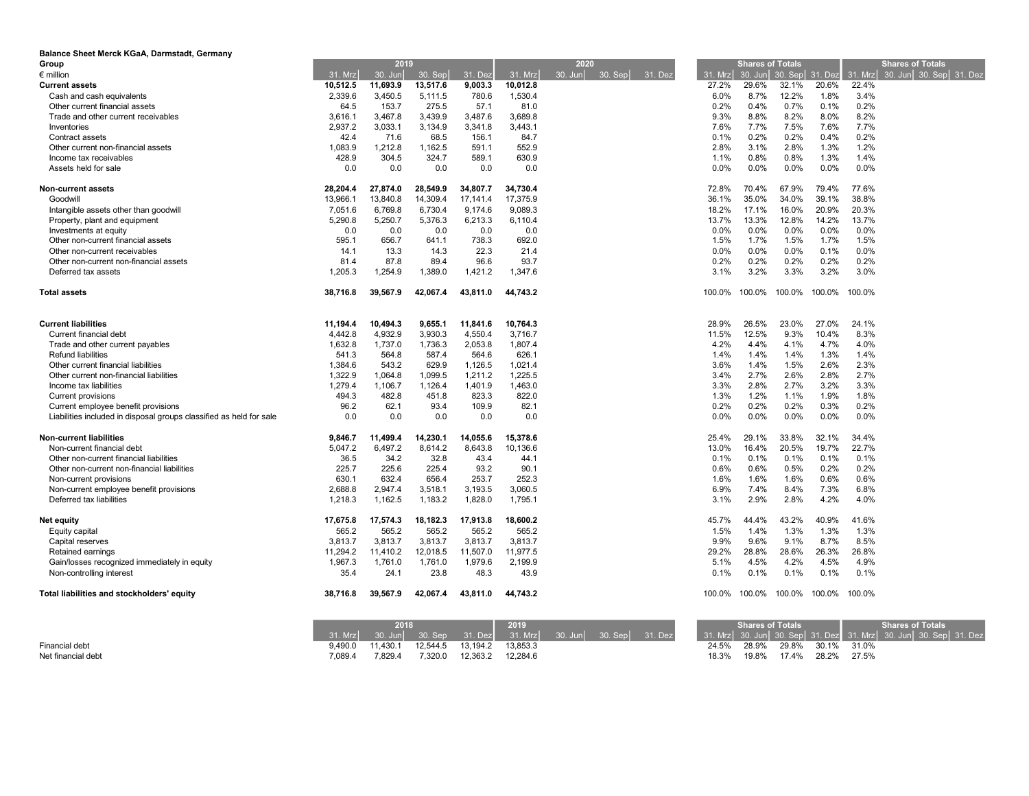| Balance Sheet Merck KGaA, Darmstadt, Germany                        |          |          |           |          |          |                                   |         |                         |        |                 |         |                         |
|---------------------------------------------------------------------|----------|----------|-----------|----------|----------|-----------------------------------|---------|-------------------------|--------|-----------------|---------|-------------------------|
| Group                                                               |          | 2019     |           |          |          | 2020                              |         | <b>Shares of Totals</b> |        |                 |         | <b>Shares of Totals</b> |
| $\epsilon$ million                                                  | 31. Mrz  | 30. Jun  | $30.$ Sep | 31. Dez  | 31. Mrz  | $30.$ Jun<br>$30.$ Sep<br>31. Dez | 31. Mrz | 30. Jun                 |        | 30. Sep 31. Dez | 31. Mrz | 30. Jun 30. Sep 31. Dez |
| <b>Current assets</b>                                               | 10,512.5 | 11,693.9 | 13,517.6  | 9,003.3  | 10,012.8 |                                   | 27.2%   | 29.6%                   | 32.1%  | 20.6%           | 22.4%   |                         |
| Cash and cash equivalents                                           | 2,339.6  | 3,450.5  | 5,111.5   | 780.6    | 1,530.4  |                                   | $6.0\%$ | 8.7%                    | 12.2%  | 1.8%            | 3.4%    |                         |
| Other current financial assets                                      | 64.5     | 153.7    | 275.5     | 57.1     | 81.0     |                                   | 0.2%    | 0.4%                    | 0.7%   | 0.1%            | 0.2%    |                         |
| Trade and other current receivables                                 | 3,616.1  | 3,467.8  | 3,439.9   | 3,487.6  | 3,689.8  |                                   | 9.3%    | 8.8%                    | 8.2%   | 8.0%            | 8.2%    |                         |
| Inventories                                                         | 2,937.2  | 3,033.1  | 3,134.9   | 3,341.8  | 3,443.1  |                                   | 7.6%    | 7.7%                    | 7.5%   | 7.6%            | 7.7%    |                         |
| Contract assets                                                     | 42.4     | 71.6     | 68.5      | 156.1    | 84.7     |                                   | 0.1%    | 0.2%                    | 0.2%   | 0.4%            | 0.2%    |                         |
| Other current non-financial assets                                  | 1,083.9  | 1,212.8  | 1,162.5   | 591.1    | 552.9    |                                   | 2.8%    | 3.1%                    | 2.8%   | 1.3%            | 1.2%    |                         |
| Income tax receivables                                              | 428.9    | 304.5    | 324.7     | 589.1    | 630.9    |                                   | 1.1%    | 0.8%                    | 0.8%   | 1.3%            | 1.4%    |                         |
| Assets held for sale                                                | 0.0      | 0.0      | 0.0       | 0.0      | 0.0      |                                   | 0.0%    | 0.0%                    | 0.0%   | 0.0%            | 0.0%    |                         |
| <b>Non-current assets</b>                                           | 28.204.4 | 27,874.0 | 28.549.9  | 34,807.7 | 34,730.4 |                                   | 72.8%   | 70.4%                   | 67.9%  | 79.4%           | 77.6%   |                         |
| Goodwill                                                            | 13,966.1 | 13,840.8 | 14,309.4  | 17,141.4 | 17,375.9 |                                   | 36.1%   | 35.0%                   | 34.0%  | 39.1%           | 38.8%   |                         |
| Intangible assets other than goodwill                               | 7,051.6  | 6,769.8  | 6,730.4   | 9,174.6  | 9,089.3  |                                   | 18.2%   | 17.1%                   | 16.0%  | 20.9%           | 20.3%   |                         |
| Property, plant and equipment                                       | 5.290.8  | 5.250.7  | 5.376.3   | 6.213.3  | 6.110.4  |                                   | 13.7%   | 13.3%                   | 12.8%  | 14.2%           | 13.7%   |                         |
| Investments at equity                                               | 0.0      | 0.0      | 0.0       | 0.0      | 0.0      |                                   | 0.0%    | 0.0%                    | 0.0%   | 0.0%            | 0.0%    |                         |
| Other non-current financial assets                                  | 595.1    | 656.7    | 641.1     | 738.3    | 692.0    |                                   | 1.5%    | 1.7%                    | 1.5%   | 1.7%            | 1.5%    |                         |
| Other non-current receivables                                       | 14.1     | 13.3     | 14.3      | 22.3     | 21.4     |                                   | 0.0%    | 0.0%                    | 0.0%   | 0.1%            | 0.0%    |                         |
| Other non-current non-financial assets                              | 81.4     | 87.8     | 89.4      | 96.6     | 93.7     |                                   | 0.2%    | 0.2%                    | 0.2%   | 0.2%            | 0.2%    |                         |
| Deferred tax assets                                                 | 1,205.3  | 1,254.9  | 1,389.0   | 1,421.2  | 1,347.6  |                                   | 3.1%    | 3.2%                    | 3.3%   | 3.2%            | 3.0%    |                         |
| <b>Total assets</b>                                                 | 38,716.8 | 39,567.9 | 42.067.4  | 43,811.0 | 44,743.2 |                                   | 100.0%  | 100.0%                  | 100.0% | 100.0%          | 100.0%  |                         |
| <b>Current liabilities</b>                                          | 11,194.4 | 10,494.3 | 9,655.1   | 11,841.6 | 10,764.3 |                                   | 28.9%   | 26.5%                   | 23.0%  | 27.0%           | 24.1%   |                         |
| Current financial debt                                              | 4.442.8  | 4.932.9  | 3.930.3   | 4,550.4  | 3.716.7  |                                   | 11.5%   | 12.5%                   | 9.3%   | 10.4%           | 8.3%    |                         |
| Trade and other current payables                                    | 1,632.8  | 1,737.0  | 1,736.3   | 2,053.8  | 1,807.4  |                                   | 4.2%    | 4.4%                    | 4.1%   | 4.7%            | 4.0%    |                         |
| <b>Refund liabilities</b>                                           | 541.3    | 564.8    | 587.4     | 564.6    | 626.1    |                                   | 1.4%    | 1.4%                    | 1.4%   | 1.3%            | 1.4%    |                         |
| Other current financial liabilities                                 | 1,384.6  | 543.2    | 629.9     | 1,126.5  | 1,021.4  |                                   | 3.6%    | 1.4%                    | 1.5%   | 2.6%            | 2.3%    |                         |
| Other current non-financial liabilities                             | 1,322.9  | 1,064.8  | 1,099.5   | 1,211.2  | 1,225.5  |                                   | 3.4%    | 2.7%                    | 2.6%   | 2.8%            | 2.7%    |                         |
| Income tax liabilities                                              | 1,279.4  | 1,106.7  | 1,126.4   | 1,401.9  | 1,463.0  |                                   | 3.3%    | 2.8%                    | 2.7%   | 3.2%            | 3.3%    |                         |
| <b>Current provisions</b>                                           | 494.3    | 482.8    | 451.8     | 823.3    | 822.0    |                                   | 1.3%    | 1.2%                    | 1.1%   | 1.9%            | 1.8%    |                         |
| Current employee benefit provisions                                 | 96.2     | 62.1     | 93.4      | 109.9    | 82.1     |                                   | 0.2%    | 0.2%                    | 0.2%   | 0.3%            | 0.2%    |                         |
| Liabilities included in disposal groups classified as held for sale | 0.0      | 0.0      | 0.0       | 0.0      | 0.0      |                                   | 0.0%    | 0.0%                    | 0.0%   | $0.0\%$         | 0.0%    |                         |
| <b>Non-current liabilities</b>                                      | 9.846.7  | 11,499.4 | 14,230.1  | 14,055.6 | 15,378.6 |                                   | 25.4%   | 29.1%                   | 33.8%  | 32.1%           | 34.4%   |                         |
| Non-current financial debt                                          | 5,047.2  | 6,497.2  | 8.614.2   | 8.643.8  | 10.136.6 |                                   | 13.0%   | 16.4%                   | 20.5%  | 19.7%           | 22.7%   |                         |
| Other non-current financial liabilities                             | 36.5     | 34.2     | 32.8      | 43.4     | 44.1     |                                   | 0.1%    | 0.1%                    | 0.1%   | 0.1%            | 0.1%    |                         |
| Other non-current non-financial liabilities                         | 225.7    | 225.6    | 225.4     | 93.2     | 90.1     |                                   | 0.6%    | 0.6%                    | 0.5%   | 0.2%            | 0.2%    |                         |
| Non-current provisions                                              | 630.1    | 632.4    | 656.4     | 253.7    | 252.3    |                                   | 1.6%    | 1.6%                    | 1.6%   | 0.6%            | 0.6%    |                         |
| Non-current employee benefit provisions                             | 2,688.8  | 2,947.4  | 3,518.1   | 3,193.5  | 3,060.5  |                                   | 6.9%    | 7.4%                    | 8.4%   | 7.3%            | 6.8%    |                         |
| Deferred tax liabilities                                            | 1,218.3  | 1,162.5  | 1,183.2   | 1,828.0  | 1,795.1  |                                   | 3.1%    | 2.9%                    | 2.8%   | 4.2%            | 4.0%    |                         |
| Net equity                                                          | 17,675.8 | 17,574.3 | 18,182.3  | 17,913.8 | 18,600.2 |                                   | 45.7%   | 44.4%                   | 43.2%  | 40.9%           | 41.6%   |                         |
| Equity capital                                                      | 565.2    | 565.2    | 565.2     | 565.2    | 565.2    |                                   | 1.5%    | 1.4%                    | 1.3%   | 1.3%            | 1.3%    |                         |
| Capital reserves                                                    | 3,813.7  | 3,813.7  | 3,813.7   | 3,813.7  | 3,813.7  |                                   | 9.9%    | 9.6%                    | 9.1%   | 8.7%            | 8.5%    |                         |
| Retained earnings                                                   | 11,294.2 | 11,410.2 | 12,018.5  | 11,507.0 | 11,977.5 |                                   | 29.2%   | 28.8%                   | 28.6%  | 26.3%           | 26.8%   |                         |
| Gain/losses recognized immediately in equity                        | 1,967.3  | 1,761.0  | 1,761.0   | 1,979.6  | 2,199.9  |                                   | 5.1%    | 4.5%                    | 4.2%   | 4.5%            | 4.9%    |                         |
| Non-controlling interest                                            | 35.4     | 24.1     | 23.8      | 48.3     | 43.9     |                                   | 0.1%    | 0.1%                    | 0.1%   | 0.1%            | 0.1%    |                         |
| Total liabilities and stockholders' equity                          | 38.716.8 | 39.567.9 | 42.067.4  | 43.811.0 | 44.743.2 |                                   | 100.0%  | 100.0%                  | 100.0% | 100.0%          | 100.0%  |                         |

|                    |          | 2018     |          | 2019     |                                                               |  |       | <b>Shares of Totals</b> | <b>Shares of Totals</b> |             |       |                                                                 |  |
|--------------------|----------|----------|----------|----------|---------------------------------------------------------------|--|-------|-------------------------|-------------------------|-------------|-------|-----------------------------------------------------------------|--|
|                    | 31. Mrzl |          |          |          | 30. Jun  30. Sep  31. Dez  31. Mrz  30. Jun  30. Sep  31. Dez |  |       |                         |                         |             |       | 31. Mrz 30. Jun 30. Sep 31. Dez 31. Mrz 30. Jun 30. Sep 31. Dez |  |
| Financial debt     | 9.490.0  | 11.430.1 | 12.544.5 | 13.194.2 | 13.853.3                                                      |  | 24.5% | 28.9%                   |                         | 29.8% 30.1% | 31.0% |                                                                 |  |
| Net financial debt | 7,089.4  | 7,829.4  | 7,320.0  | 12,363.2 | 12.284.6                                                      |  | 18.3% | 19.8%                   | 17.4%                   | 28.2%       | 27.5% |                                                                 |  |